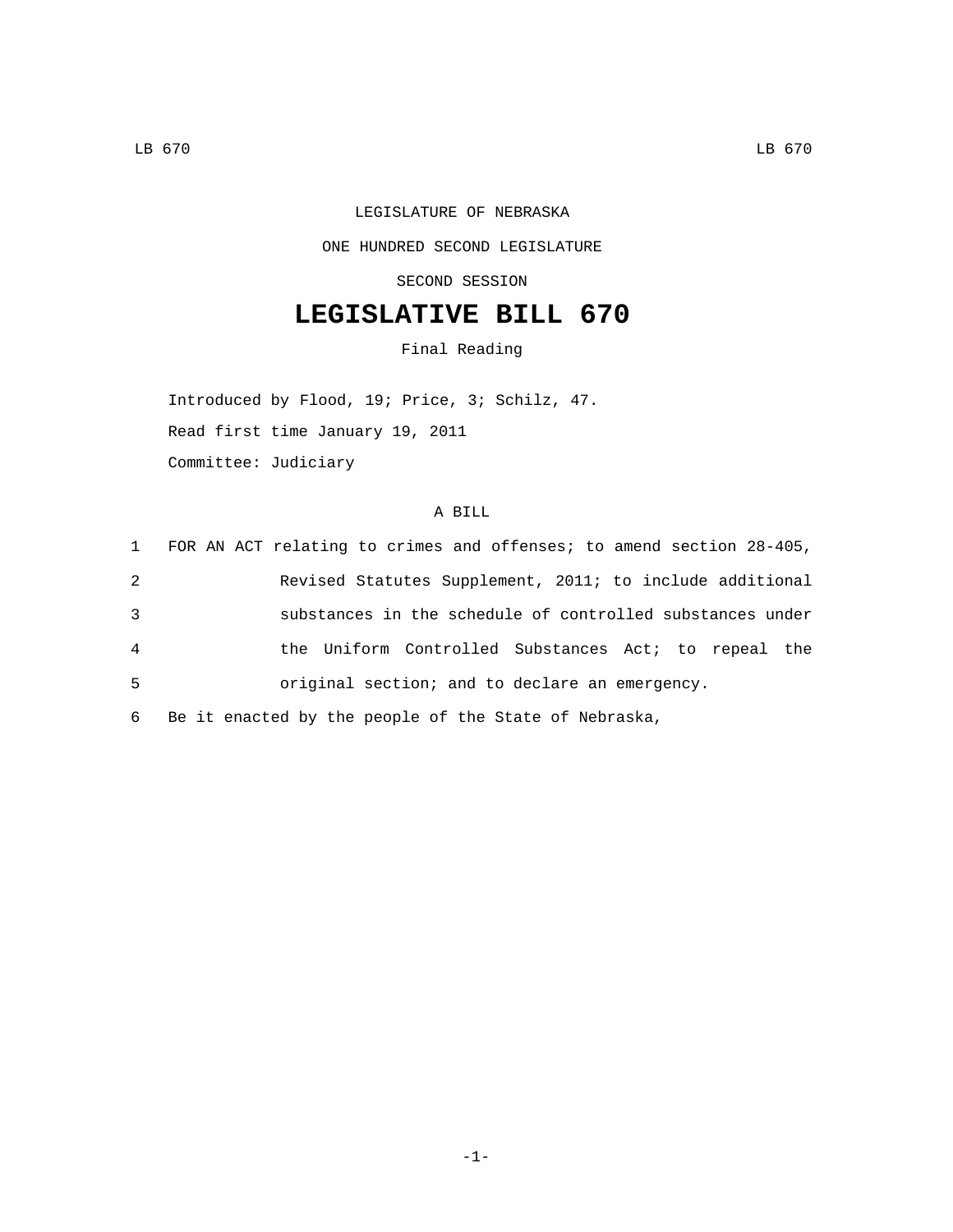## LEGISLATURE OF NEBRASKA ONE HUNDRED SECOND LEGISLATURE SECOND SESSION

## **LEGISLATIVE BILL 670**

Final Reading

Introduced by Flood, 19; Price, 3; Schilz, 47. Read first time January 19, 2011 Committee: Judiciary

## A BILL

|                | 1 FOR AN ACT relating to crimes and offenses; to amend section 28-405, |
|----------------|------------------------------------------------------------------------|
| 2              | Revised Statutes Supplement, 2011; to include additional               |
| 3              | substances in the schedule of controlled substances under              |
| $\overline{4}$ | the Uniform Controlled Substances Act; to repeal the                   |
| 5              | original section; and to declare an emergency.                         |
|                |                                                                        |

6 Be it enacted by the people of the State of Nebraska,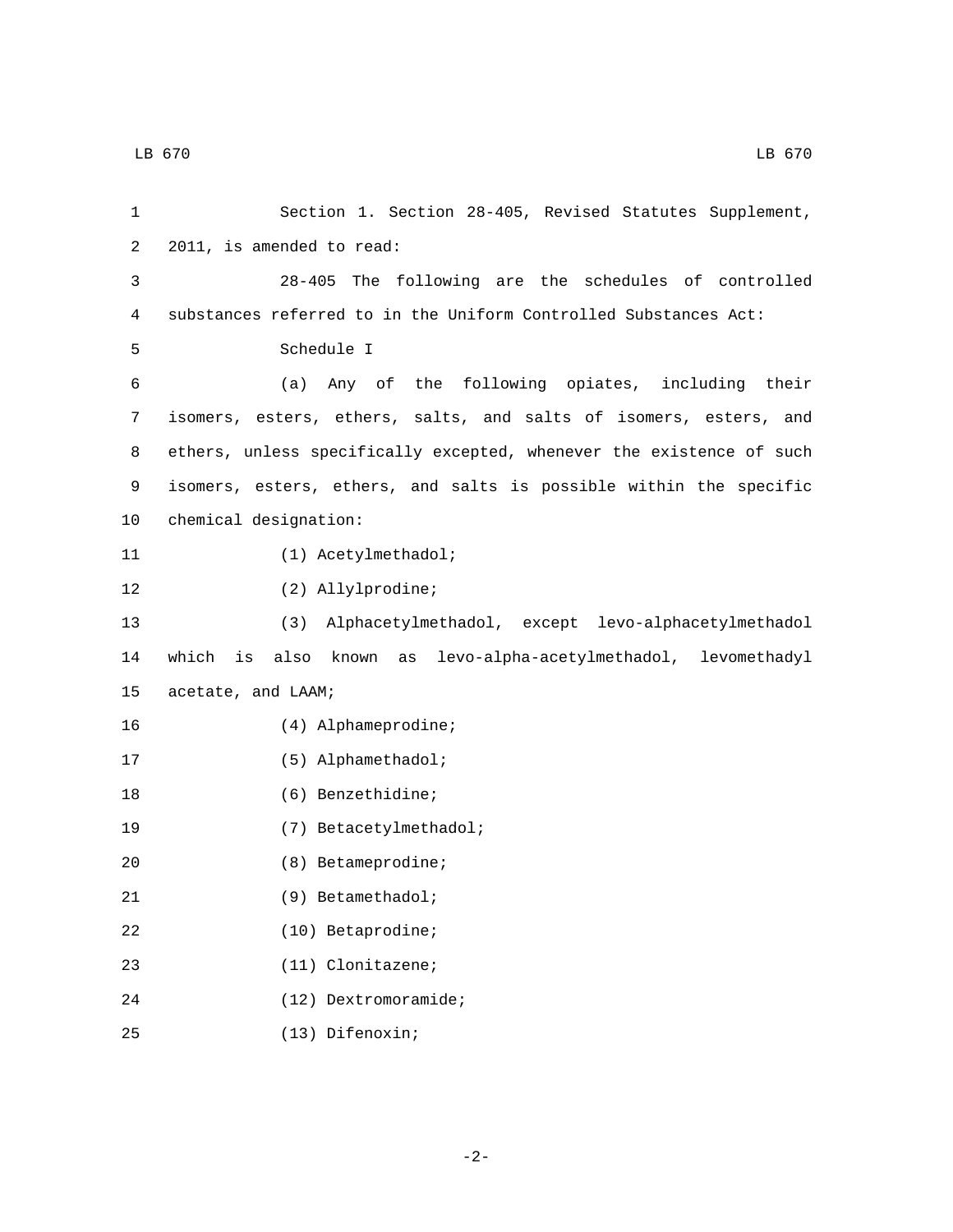| 1  | Section 1. Section 28-405, Revised Statutes Supplement,              |
|----|----------------------------------------------------------------------|
| 2  | 2011, is amended to read:                                            |
| 3  | 28-405 The following are the schedules of controlled                 |
| 4  | substances referred to in the Uniform Controlled Substances Act:     |
| 5  | Schedule I                                                           |
| 6  | (a) Any of the following opiates, including their                    |
| 7  | isomers, esters, ethers, salts, and salts of isomers, esters, and    |
| 8  | ethers, unless specifically excepted, whenever the existence of such |
| 9  | isomers, esters, ethers, and salts is possible within the specific   |
| 10 | chemical designation:                                                |
| 11 | (1) Acetylmethadol;                                                  |
| 12 | (2) Allylprodine;                                                    |
| 13 | (3) Alphacetylmethadol, except levo-alphacetylmethadol               |
| 14 | also known as levo-alpha-acetylmethadol, levomethadyl<br>which<br>is |
| 15 | acetate, and LAAM;                                                   |
| 16 | (4) Alphameprodine;                                                  |
| 17 | (5) Alphamethadol;                                                   |
| 18 | (6) Benzethidine;                                                    |
| 19 | (7) Betacetylmethadol;                                               |
| 20 | (8) Betameprodine;                                                   |
| 21 | (9) Betamethadol;                                                    |
| 22 | $(10)$ Betaprodine;                                                  |
| 23 | $(11)$ Clonitazene;                                                  |
| 24 | $(12)$ Dextromoramide;                                               |
|    |                                                                      |

(13) Difenoxin;25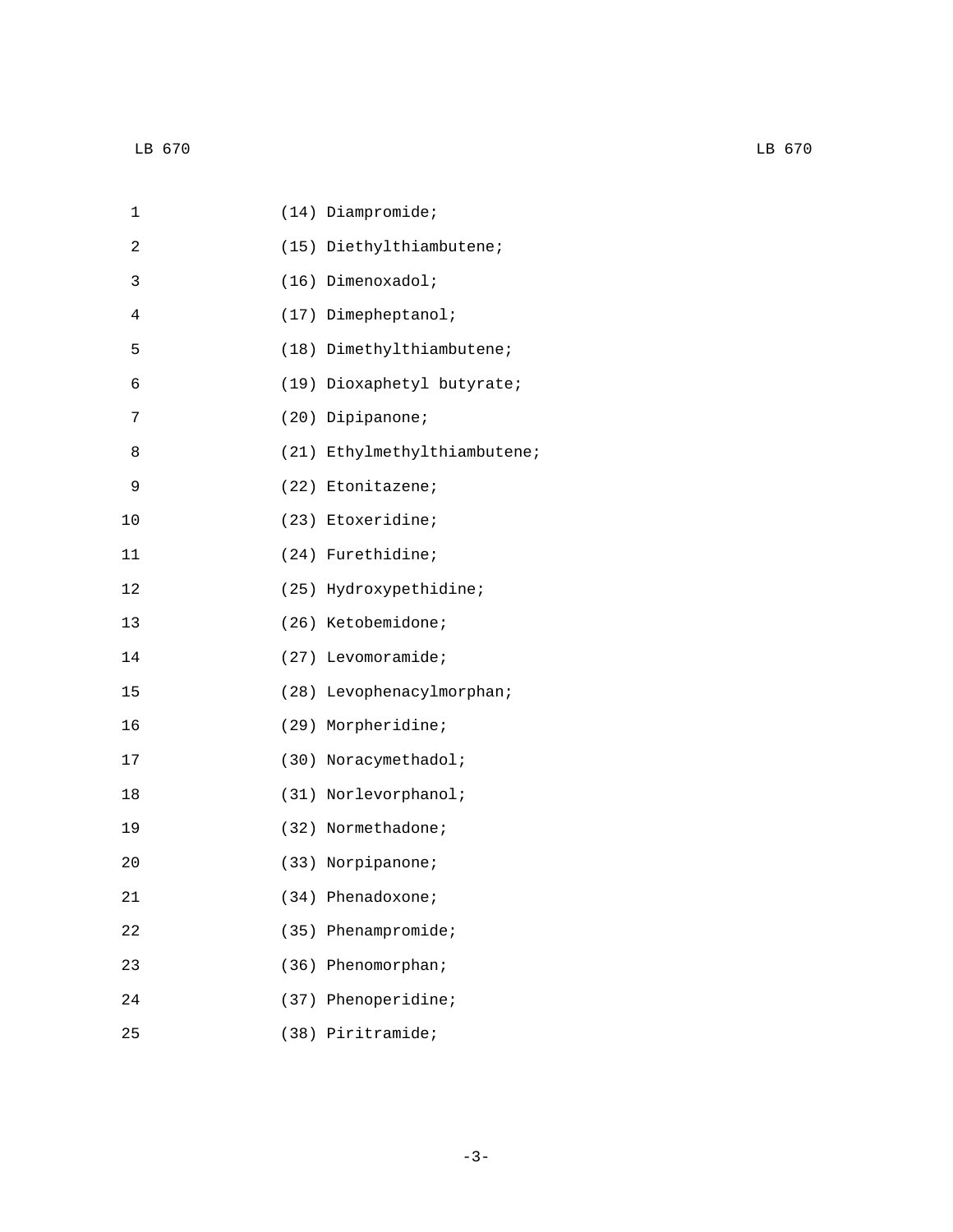| $\mathbf 1$ | $(14)$ Diampromide;          |
|-------------|------------------------------|
| 2           | (15) Diethylthiambutene;     |
| 3           | (16) Dimenoxadol;            |
| 4           | (17) Dimepheptanol;          |
| 5           | (18) Dimethylthiambutene;    |
| 6           | (19) Dioxaphetyl butyrate;   |
| 7           | (20) Dipipanone;             |
| 8           | (21) Ethylmethylthiambutene; |
| 9           | (22) Etonitazene;            |
| 10          | (23) Etoxeridine;            |
| 11          | (24) Furethidine;            |
| 12          | (25) Hydroxypethidine;       |
| 13          | (26) Ketobemidone;           |
| 14          | $(27)$ Levomoramide;         |
| 15          | (28) Levophenacylmorphan;    |
| 16          | (29) Morpheridine;           |
| $17$        | (30) Noracymethadol;         |
| 18          | (31) Norlevorphanol;         |
| 19          | (32) Normethadone;           |
| 20          | (33) Norpipanone;            |
| 21          | (34) Phenadoxone;            |
| 22<br>(35)  | Phenampromide;               |
| 23<br>(36)  | Phenomorphan;                |
| 24<br>(37)  | Phenoperidine;               |
| 25          | (38) Piritramide;            |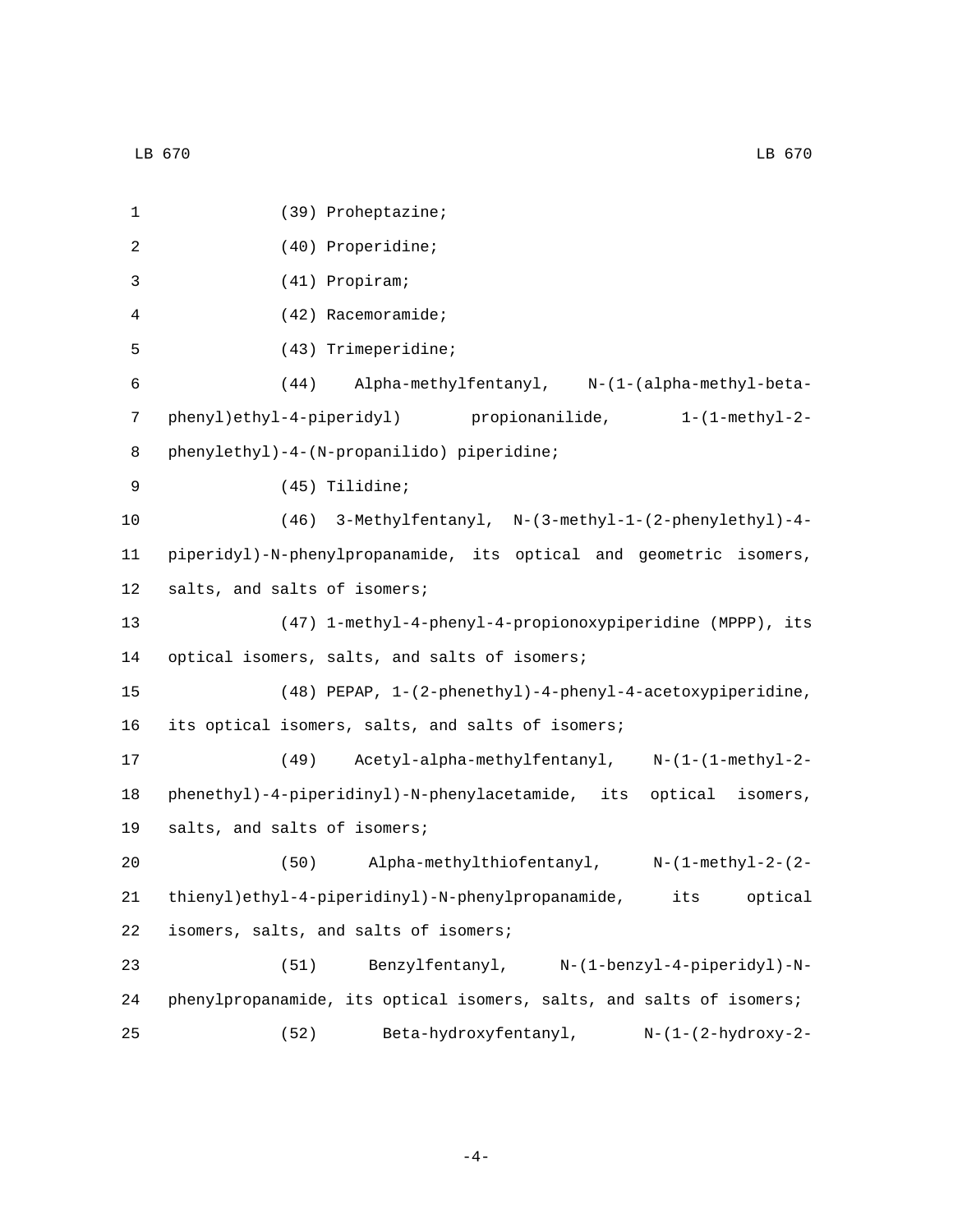| 1           | (39) Proheptazine;                                                            |
|-------------|-------------------------------------------------------------------------------|
| 2           | (40) Properidine;                                                             |
| 3           | (41) Propiram;                                                                |
| 4           | $(42)$ Racemoramide;                                                          |
| 5           | (43) Trimeperidine;                                                           |
| 6           | $(44)$ Alpha-methylfentanyl, $N-(1-(\text{alpha-methyl-beta})$                |
| 7           | phenyl)ethyl-4-piperidyl) propionanilide,<br>$1 - (1 - \mathsf{methyl} - 2 -$ |
| 8           | phenylethyl)-4-(N-propanilido) piperidine;                                    |
| $\mathsf 9$ | (45) Tilidine;                                                                |
| 10          | (46) 3-Methylfentanyl, N-(3-methyl-1-(2-phenylethyl)-4-                       |
| 11          | piperidyl)-N-phenylpropanamide, its optical and geometric isomers,            |
| 12          | salts, and salts of isomers;                                                  |
| 13          | (47) 1-methyl-4-phenyl-4-propionoxypiperidine (MPPP), its                     |
| 14          | optical isomers, salts, and salts of isomers;                                 |
| 15          | $(48)$ PEPAP, $1-(2-phenethyl)-4-phenyl-4-acetoxypiperidine,$                 |
| 16          | its optical isomers, salts, and salts of isomers;                             |
| 17          | Acetyl-alpha-methylfentanyl, N-(1-(1-methyl-2-<br>(49)                        |
| 18          | phenethyl)-4-piperidinyl)-N-phenylacetamide, its optical isomers,             |
| 19          | salts, and salts of isomers;                                                  |
| 20          | (50)<br>Alpha-methylthiofentanyl, N-(1-methyl-2-(2-                           |
| 21          | thienyl)ethyl-4-piperidinyl)-N-phenylpropanamide, its optical                 |
| 22          | isomers, salts, and salts of isomers;                                         |
| 23          | Benzylfentanyl, N-(1-benzyl-4-piperidyl)-N-<br>(51)                           |
| 24          | phenylpropanamide, its optical isomers, salts, and salts of isomers;          |
| 25          | (52)<br>Beta-hydroxyfentanyl,<br>N-(1-(2-hydroxy-2-                           |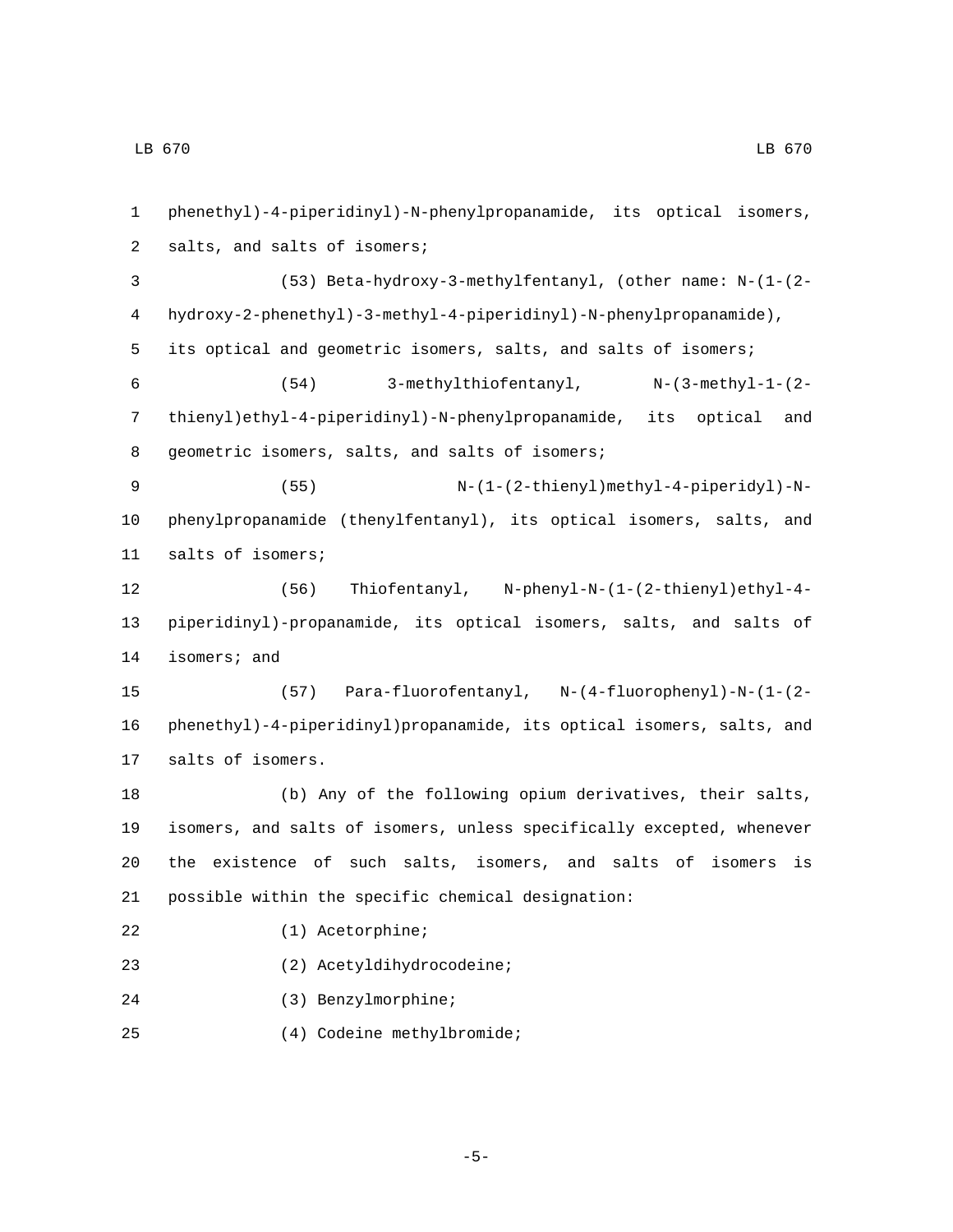phenethyl)-4-piperidinyl)-N-phenylpropanamide, its optical isomers, 2 salts, and salts of isomers; (53) Beta-hydroxy-3-methylfentanyl, (other name: N-(1-(2- hydroxy-2-phenethyl)-3-methyl-4-piperidinyl)-N-phenylpropanamide), its optical and geometric isomers, salts, and salts of isomers; (54) 3-methylthiofentanyl, N-(3-methyl-1-(2- thienyl)ethyl-4-piperidinyl)-N-phenylpropanamide, its optical and 8 geometric isomers, salts, and salts of isomers; (55) N-(1-(2-thienyl)methyl-4-piperidyl)-N- phenylpropanamide (thenylfentanyl), its optical isomers, salts, and 11 salts of isomers; (56) Thiofentanyl, N-phenyl-N-(1-(2-thienyl)ethyl-4- piperidinyl)-propanamide, its optical isomers, salts, and salts of 14 isomers; and (57) Para-fluorofentanyl, N-(4-fluorophenyl)-N-(1-(2- phenethyl)-4-piperidinyl)propanamide, its optical isomers, salts, and 17 salts of isomers. (b) Any of the following opium derivatives, their salts, isomers, and salts of isomers, unless specifically excepted, whenever the existence of such salts, isomers, and salts of isomers is possible within the specific chemical designation: 22 (1) Acetorphine; (2) Acetyldihydrocodeine;23 (3) Benzylmorphine;24 (4) Codeine methylbromide;25

-5-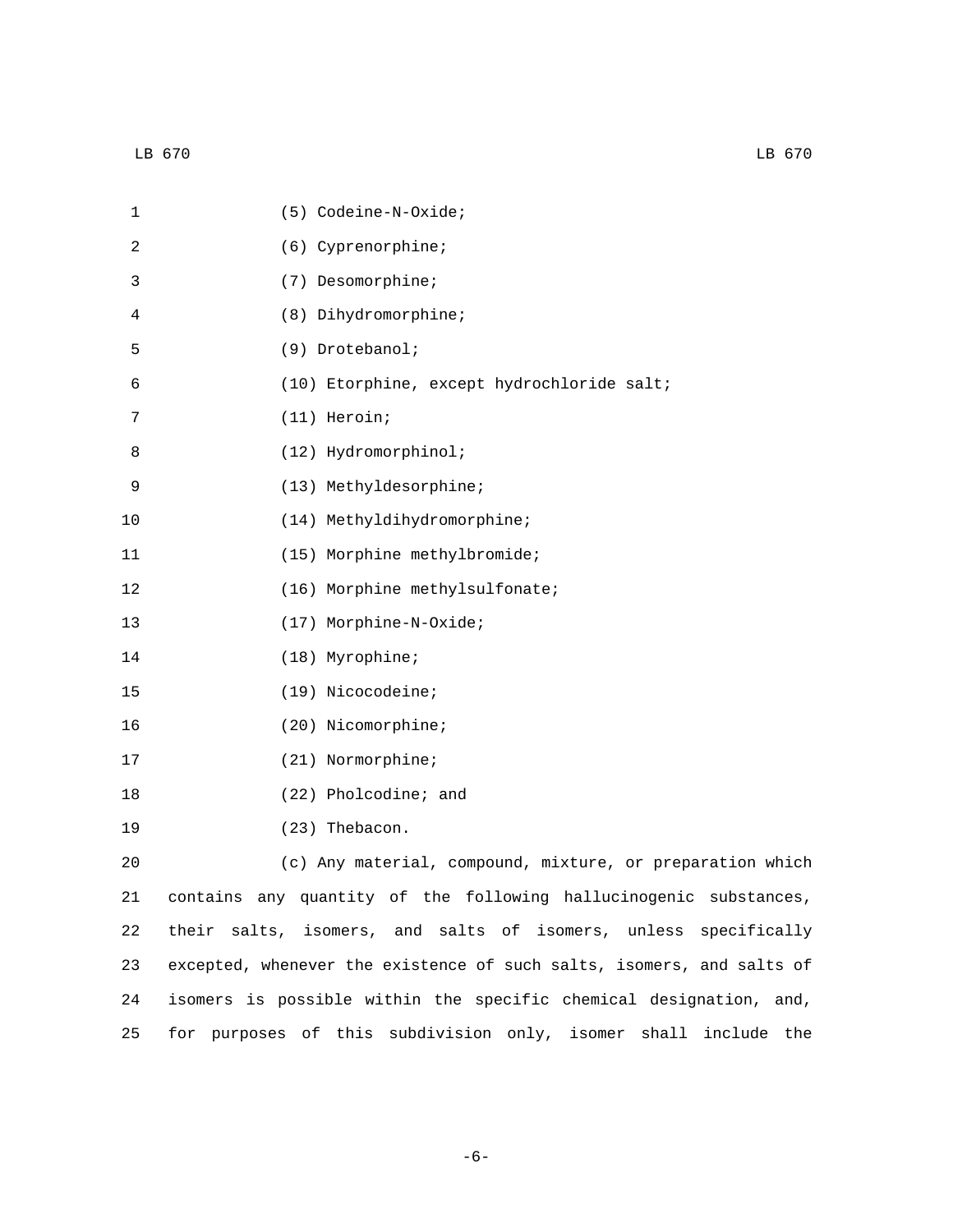| 1  | (5) Codeine-N-Oxide;                                                  |
|----|-----------------------------------------------------------------------|
| 2  | (6) Cyprenorphine;                                                    |
| 3  | (7) Desomorphine;                                                     |
| 4  | (8) Dihydromorphine;                                                  |
| 5  | (9) Drotebanol;                                                       |
| 6  | (10) Etorphine, except hydrochloride salt;                            |
| 7  | (11) Heroin;                                                          |
| 8  | (12) Hydromorphinol;                                                  |
| 9  | (13) Methyldesorphine;                                                |
| 10 | (14) Methyldihydromorphine;                                           |
| 11 | (15) Morphine methylbromide;                                          |
| 12 | (16) Morphine methylsulfonate;                                        |
| 13 | (17) Morphine-N-Oxide;                                                |
| 14 | (18) Myrophine;                                                       |
| 15 | (19) Nicocodeine;                                                     |
| 16 | (20) Nicomorphine;                                                    |
| 17 | (21) Normorphine;                                                     |
| 18 | (22) Pholcodine; and                                                  |
| 19 | (23) Thebacon.                                                        |
| 20 | (c) Any material, compound, mixture, or preparation which             |
| 21 | contains any quantity of the following hallucinogenic substances,     |
| 22 | isomers, and salts of isomers, unless specifically<br>salts,<br>their |
| 23 | excepted, whenever the existence of such salts, isomers, and salts of |

25 for purposes of this subdivision only, isomer shall include the

24 isomers is possible within the specific chemical designation, and,

-6-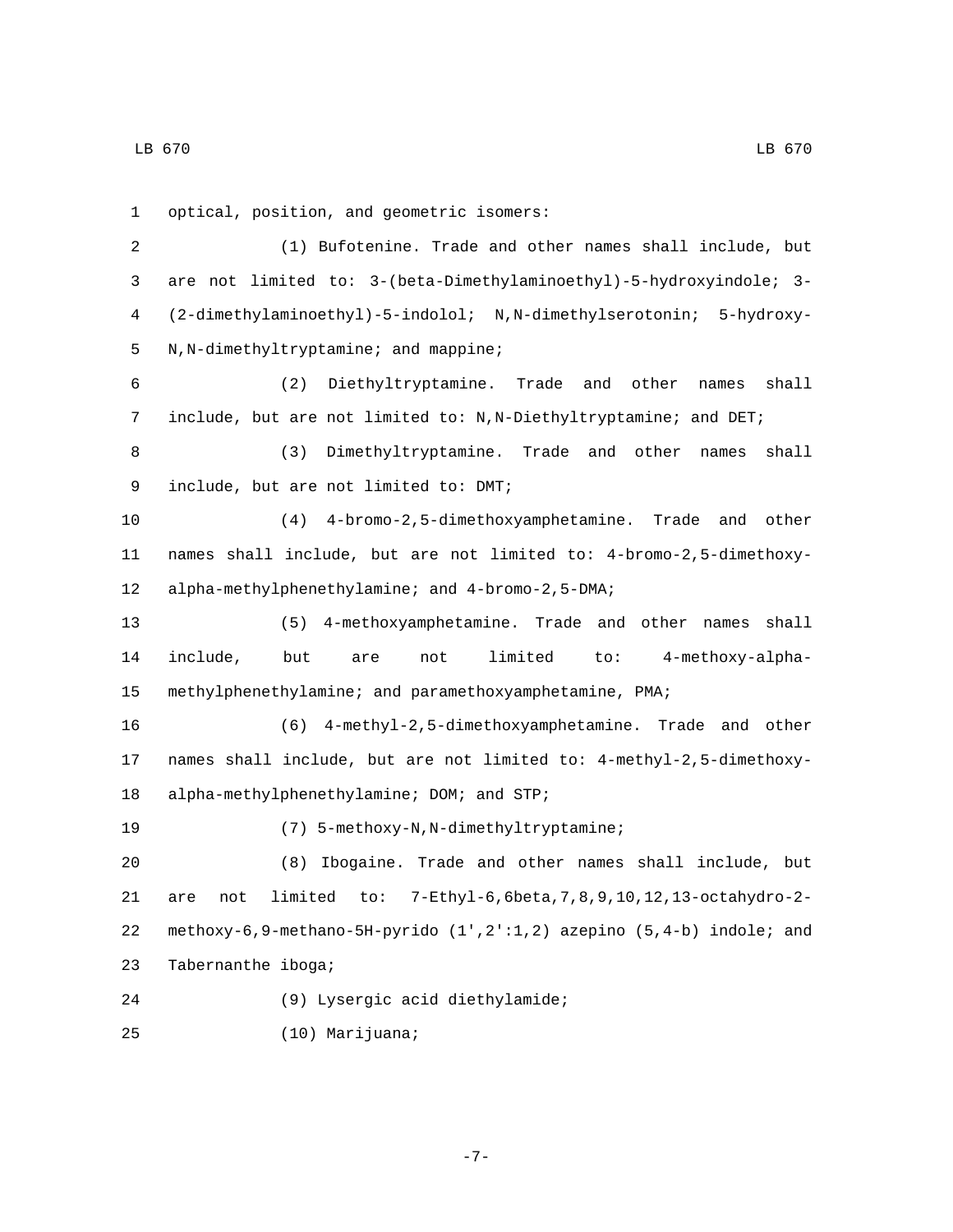1 optical, position, and geometric isomers: 2 (1) Bufotenine. Trade and other names shall include, but 3 are not limited to: 3-(beta-Dimethylaminoethyl)-5-hydroxyindole; 3- 4 (2-dimethylaminoethyl)-5-indolol; N,N-dimethylserotonin; 5-hydroxy-5 N,N-dimethyltryptamine; and mappine; 6 (2) Diethyltryptamine. Trade and other names shall 7 include, but are not limited to: N,N-Diethyltryptamine; and DET; 8 (3) Dimethyltryptamine. Trade and other names shall 9 include, but are not limited to: DMT; 10 (4) 4-bromo-2,5-dimethoxyamphetamine. Trade and other 11 names shall include, but are not limited to: 4-bromo-2,5-dimethoxy-12 alpha-methylphenethylamine; and 4-bromo-2,5-DMA; 13 (5) 4-methoxyamphetamine. Trade and other names shall 14 include, but are not limited to: 4-methoxy-alpha-15 methylphenethylamine; and paramethoxyamphetamine, PMA; 16 (6) 4-methyl-2,5-dimethoxyamphetamine. Trade and other 17 names shall include, but are not limited to: 4-methyl-2,5-dimethoxy-18 alpha-methylphenethylamine; DOM; and STP; 19 (7) 5-methoxy-N, N-dimethyltryptamine; 20 (8) Ibogaine. Trade and other names shall include, but 21 are not limited to: 7-Ethyl-6,6beta,7,8,9,10,12,13-octahydro-2- 22 methoxy-6,9-methano-5H-pyrido (1',2':1,2) azepino (5,4-b) indole; and 23 Tabernanthe iboga; (9) Lysergic acid diethylamide;24 (10) Marijuana;25

-7-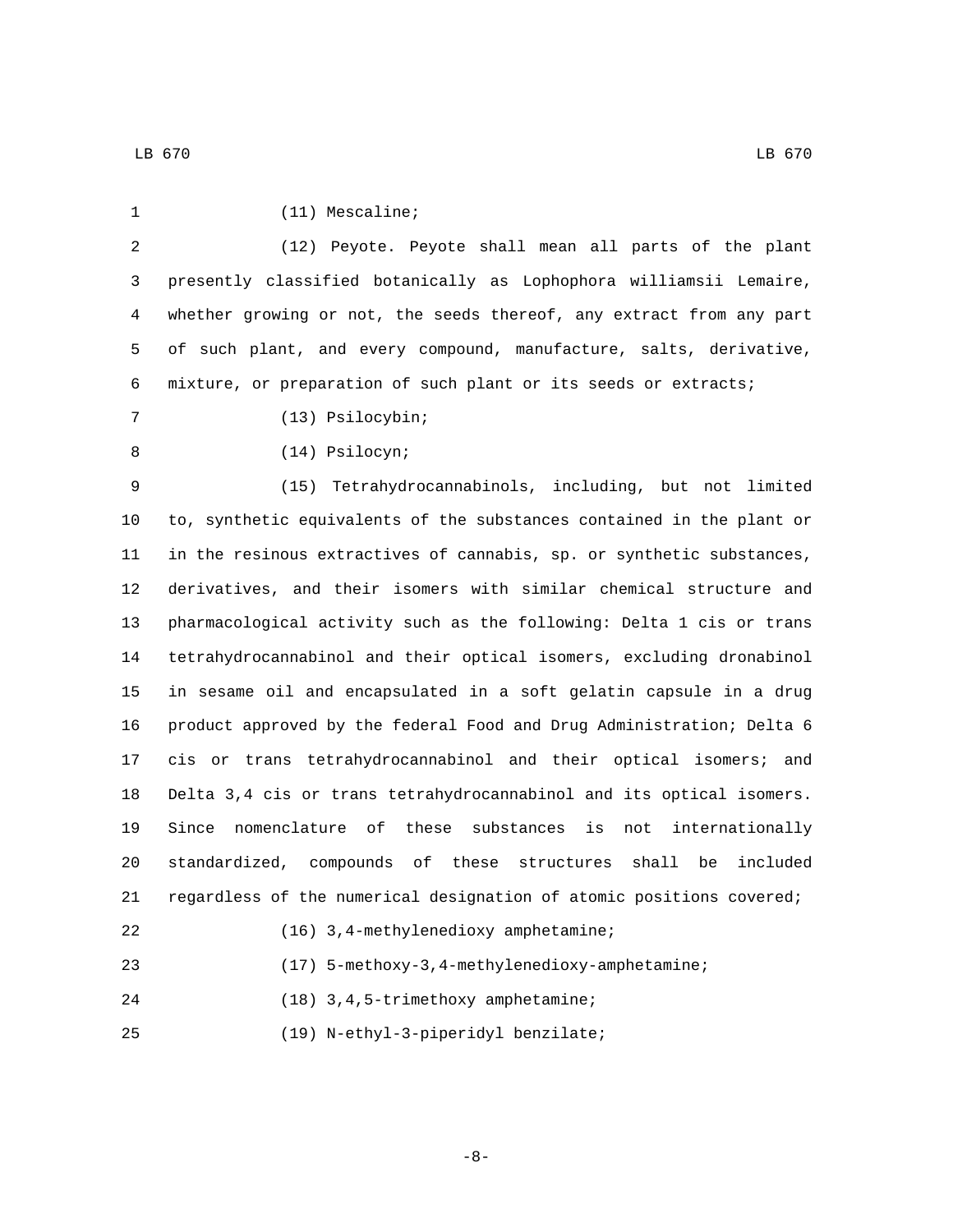| 1  | $(11)$ Mescaline;                                                      |
|----|------------------------------------------------------------------------|
| 2  | (12) Peyote. Peyote shall mean all parts of the plant                  |
| 3  | presently classified botanically as Lophophora williamsii Lemaire,     |
| 4  | whether growing or not, the seeds thereof, any extract from any part   |
| 5  | of such plant, and every compound, manufacture, salts, derivative,     |
| 6  | mixture, or preparation of such plant or its seeds or extracts;        |
| 7  | (13) Psilocybin;                                                       |
| 8  | (14) Psilocyn;                                                         |
| 9  | (15) Tetrahydrocannabinols, including, but not limited                 |
| 10 | to, synthetic equivalents of the substances contained in the plant or  |
| 11 | in the resinous extractives of cannabis, sp. or synthetic substances,  |
| 12 | derivatives, and their isomers with similar chemical structure and     |
| 13 | pharmacological activity such as the following: Delta 1 cis or trans   |
| 14 | tetrahydrocannabinol and their optical isomers, excluding dronabinol   |
| 15 | in sesame oil and encapsulated in a soft gelatin capsule in a drug     |
| 16 | product approved by the federal Food and Drug Administration; Delta 6  |
| 17 | cis or trans tetrahydrocannabinol and their optical isomers; and       |
| 18 | Delta 3,4 cis or trans tetrahydrocannabinol and its optical isomers.   |
| 19 | Since nomenclature of<br>these substances is<br>not internationally    |
| 20 | standardized, compounds of these structures<br>shall<br>included<br>be |
| 21 | regardless of the numerical designation of atomic positions covered;   |
| 22 | (16) 3, 4-methylenedioxy amphetamine;                                  |
| 23 | (17) 5-methoxy-3, 4-methylenedioxy-amphetamine;                        |
| 24 | (18) 3, 4, 5-trimethoxy amphetamine;                                   |
| 25 | (19) N-ethyl-3-piperidyl benzilate;                                    |

-8-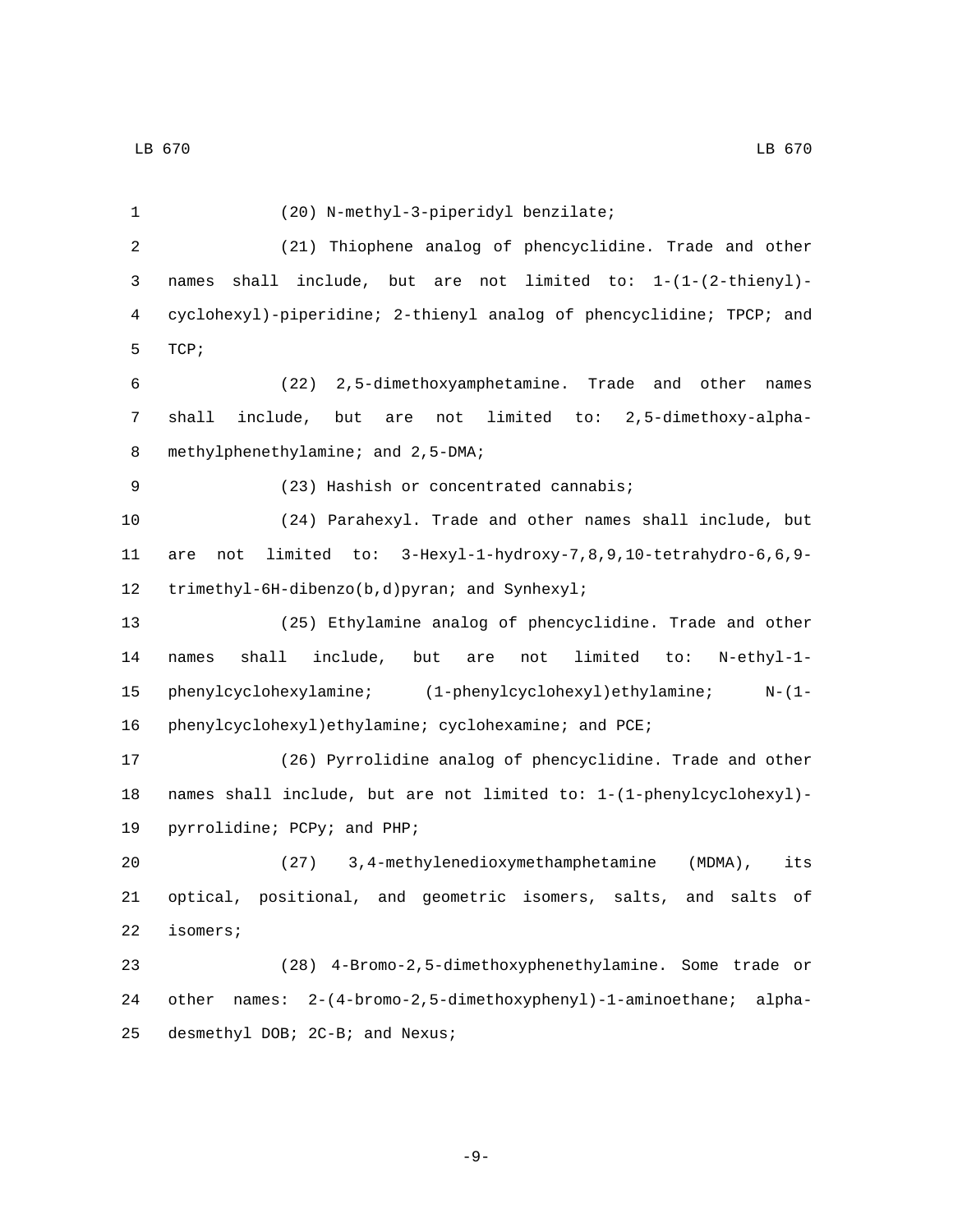LB 670 LB 670

(20) N-methyl-3-piperidyl benzilate;1 (21) Thiophene analog of phencyclidine. Trade and other names shall include, but are not limited to: 1-(1-(2-thienyl)- cyclohexyl)-piperidine; 2-thienyl analog of phencyclidine; TPCP; and 5 TCP; (22) 2,5-dimethoxyamphetamine. Trade and other names shall include, but are not limited to: 2,5-dimethoxy-alpha-8 methylphenethylamine; and 2,5-DMA; 9 (23) Hashish or concentrated cannabis; (24) Parahexyl. Trade and other names shall include, but are not limited to: 3-Hexyl-1-hydroxy-7,8,9,10-tetrahydro-6,6,9- 12 trimethyl-6H-dibenzo(b,d)pyran; and Synhexyl; (25) Ethylamine analog of phencyclidine. Trade and other names shall include, but are not limited to: N-ethyl-1- phenylcyclohexylamine; (1-phenylcyclohexyl)ethylamine; N-(1- 16 phenylcyclohexyl)ethylamine; cyclohexamine; and PCE; (26) Pyrrolidine analog of phencyclidine. Trade and other names shall include, but are not limited to: 1-(1-phenylcyclohexyl)- 19 pyrrolidine; PCPy; and PHP; (27) 3,4-methylenedioxymethamphetamine (MDMA), its optical, positional, and geometric isomers, salts, and salts of 22 isomers; (28) 4-Bromo-2,5-dimethoxyphenethylamine. Some trade or other names: 2-(4-bromo-2,5-dimethoxyphenyl)-1-aminoethane; alpha-25 desmethyl DOB; 2C-B; and Nexus;

-9-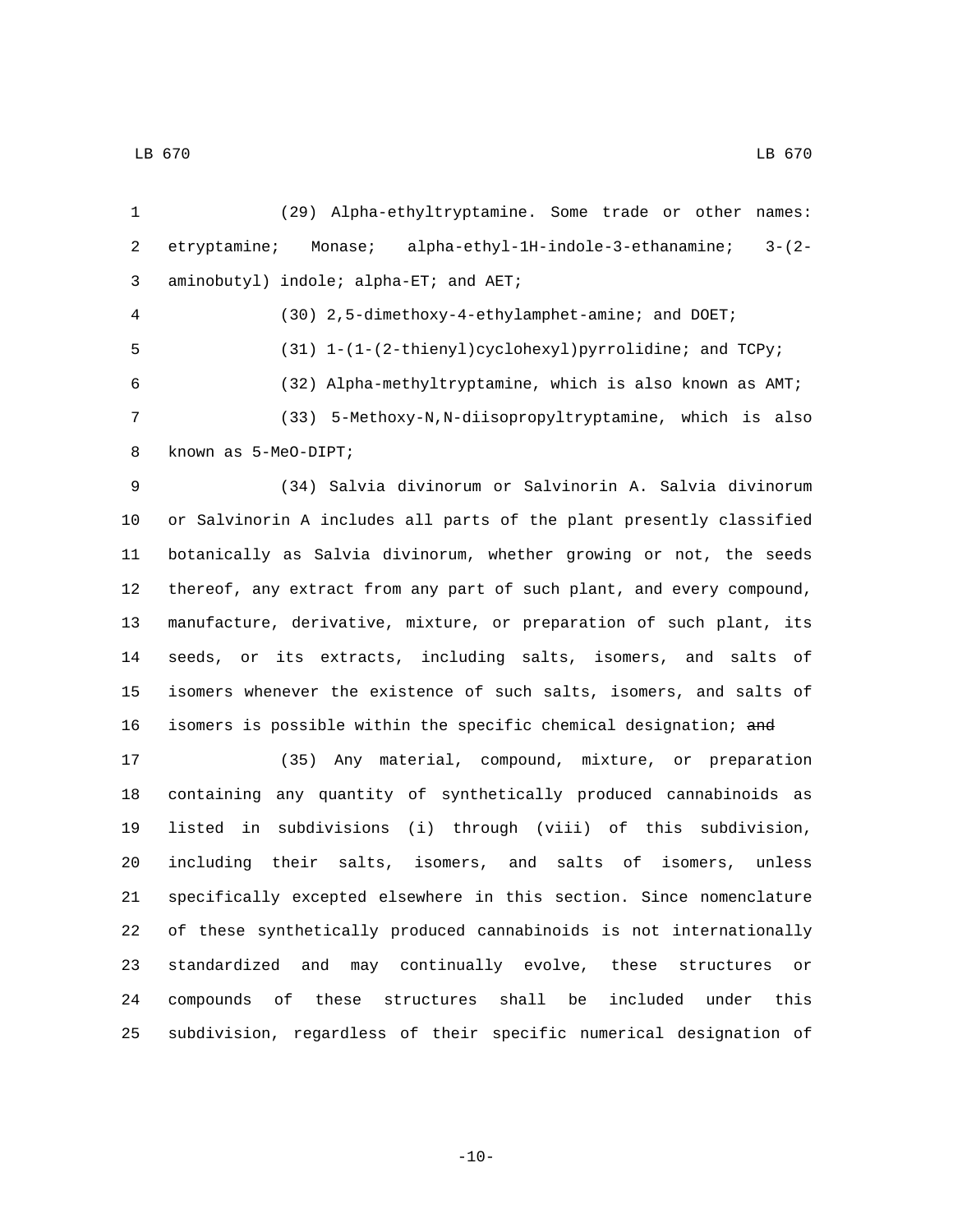(29) Alpha-ethyltryptamine. Some trade or other names: etryptamine; Monase; alpha-ethyl-1H-indole-3-ethanamine; 3-(2- 3 aminobutyl) indole; alpha-ET; and AET; (30) 2,5-dimethoxy-4-ethylamphet-amine; and DOET; (31) 1-(1-(2-thienyl)cyclohexyl)pyrrolidine; and TCPy; (32) Alpha-methyltryptamine, which is also known as AMT; (33) 5-Methoxy-N,N-diisopropyltryptamine, which is also 8 known as 5-MeO-DIPT; (34) Salvia divinorum or Salvinorin A. Salvia divinorum or Salvinorin A includes all parts of the plant presently classified botanically as Salvia divinorum, whether growing or not, the seeds thereof, any extract from any part of such plant, and every compound, manufacture, derivative, mixture, or preparation of such plant, its seeds, or its extracts, including salts, isomers, and salts of isomers whenever the existence of such salts, isomers, and salts of 16 isomers is possible within the specific chemical designation; and (35) Any material, compound, mixture, or preparation containing any quantity of synthetically produced cannabinoids as listed in subdivisions (i) through (viii) of this subdivision, including their salts, isomers, and salts of isomers, unless specifically excepted elsewhere in this section. Since nomenclature of these synthetically produced cannabinoids is not internationally standardized and may continually evolve, these structures or compounds of these structures shall be included under this subdivision, regardless of their specific numerical designation of

 $-10-$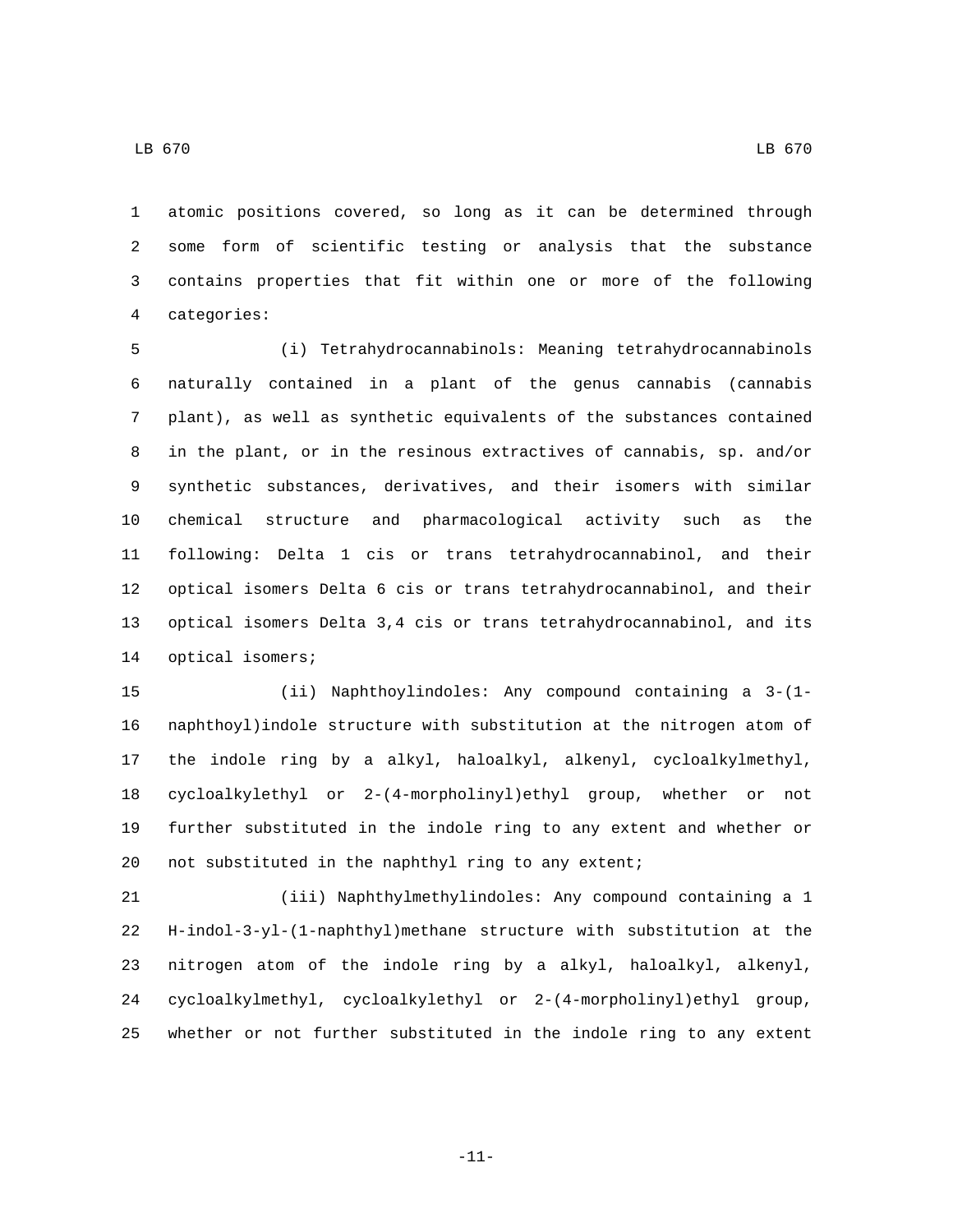atomic positions covered, so long as it can be determined through some form of scientific testing or analysis that the substance contains properties that fit within one or more of the following categories:4

 (i) Tetrahydrocannabinols: Meaning tetrahydrocannabinols naturally contained in a plant of the genus cannabis (cannabis plant), as well as synthetic equivalents of the substances contained in the plant, or in the resinous extractives of cannabis, sp. and/or synthetic substances, derivatives, and their isomers with similar chemical structure and pharmacological activity such as the following: Delta 1 cis or trans tetrahydrocannabinol, and their optical isomers Delta 6 cis or trans tetrahydrocannabinol, and their optical isomers Delta 3,4 cis or trans tetrahydrocannabinol, and its 14 optical isomers;

 (ii) Naphthoylindoles: Any compound containing a 3-(1- naphthoyl)indole structure with substitution at the nitrogen atom of the indole ring by a alkyl, haloalkyl, alkenyl, cycloalkylmethyl, cycloalkylethyl or 2-(4-morpholinyl)ethyl group, whether or not further substituted in the indole ring to any extent and whether or not substituted in the naphthyl ring to any extent;

 (iii) Naphthylmethylindoles: Any compound containing a 1 H-indol-3-yl-(1-naphthyl)methane structure with substitution at the nitrogen atom of the indole ring by a alkyl, haloalkyl, alkenyl, cycloalkylmethyl, cycloalkylethyl or 2-(4-morpholinyl)ethyl group, whether or not further substituted in the indole ring to any extent

LB 670 LB 670

-11-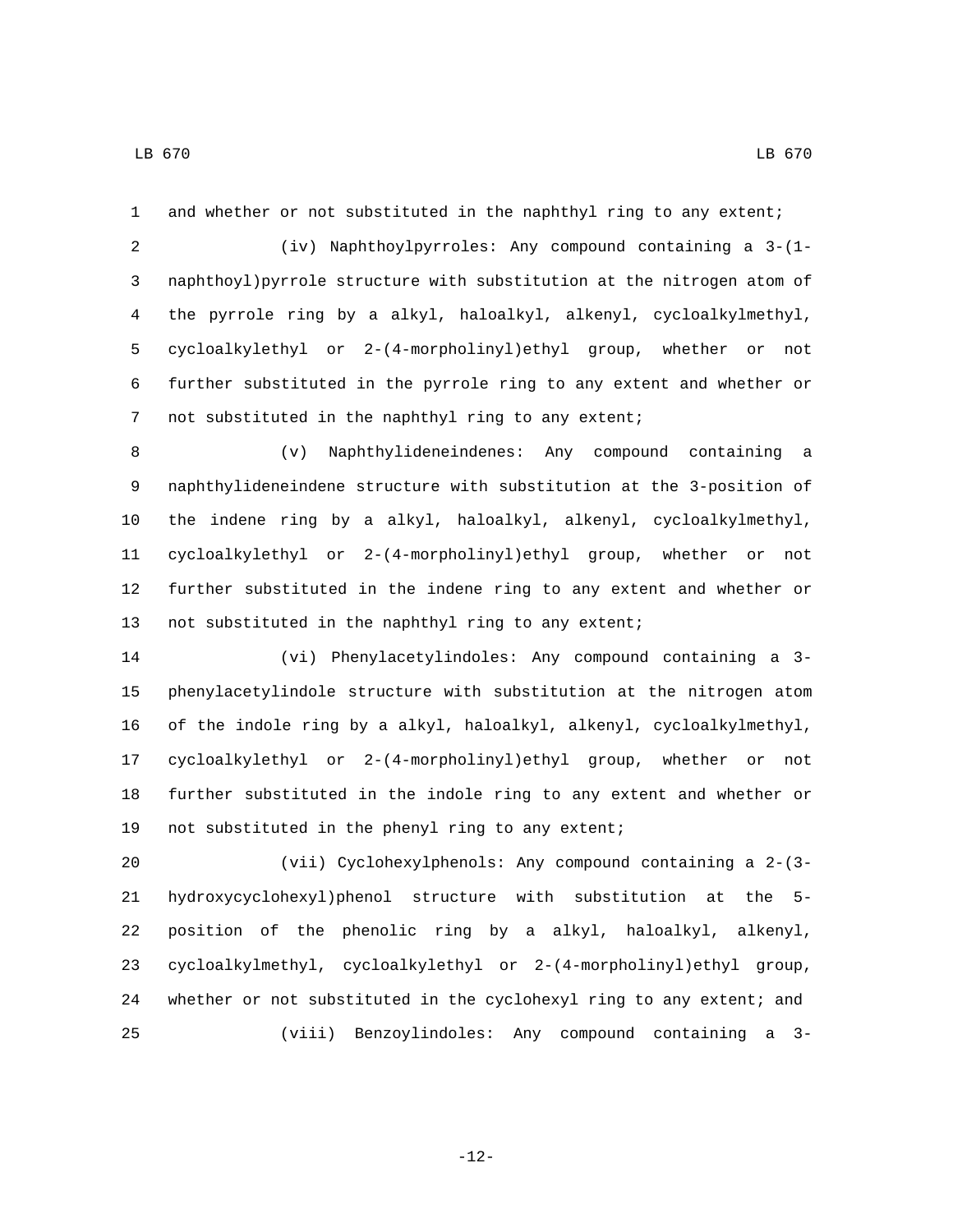and whether or not substituted in the naphthyl ring to any extent;

 (iv) Naphthoylpyrroles: Any compound containing a 3-(1- naphthoyl)pyrrole structure with substitution at the nitrogen atom of the pyrrole ring by a alkyl, haloalkyl, alkenyl, cycloalkylmethyl, cycloalkylethyl or 2-(4-morpholinyl)ethyl group, whether or not further substituted in the pyrrole ring to any extent and whether or not substituted in the naphthyl ring to any extent;

 (v) Naphthylideneindenes: Any compound containing a naphthylideneindene structure with substitution at the 3-position of the indene ring by a alkyl, haloalkyl, alkenyl, cycloalkylmethyl, cycloalkylethyl or 2-(4-morpholinyl)ethyl group, whether or not further substituted in the indene ring to any extent and whether or 13 not substituted in the naphthyl ring to any extent;

 (vi) Phenylacetylindoles: Any compound containing a 3- phenylacetylindole structure with substitution at the nitrogen atom of the indole ring by a alkyl, haloalkyl, alkenyl, cycloalkylmethyl, cycloalkylethyl or 2-(4-morpholinyl)ethyl group, whether or not further substituted in the indole ring to any extent and whether or 19 not substituted in the phenyl ring to any extent;

 (vii) Cyclohexylphenols: Any compound containing a 2-(3- hydroxycyclohexyl)phenol structure with substitution at the 5- position of the phenolic ring by a alkyl, haloalkyl, alkenyl, cycloalkylmethyl, cycloalkylethyl or 2-(4-morpholinyl)ethyl group, whether or not substituted in the cyclohexyl ring to any extent; and (viii) Benzoylindoles: Any compound containing a 3-

-12-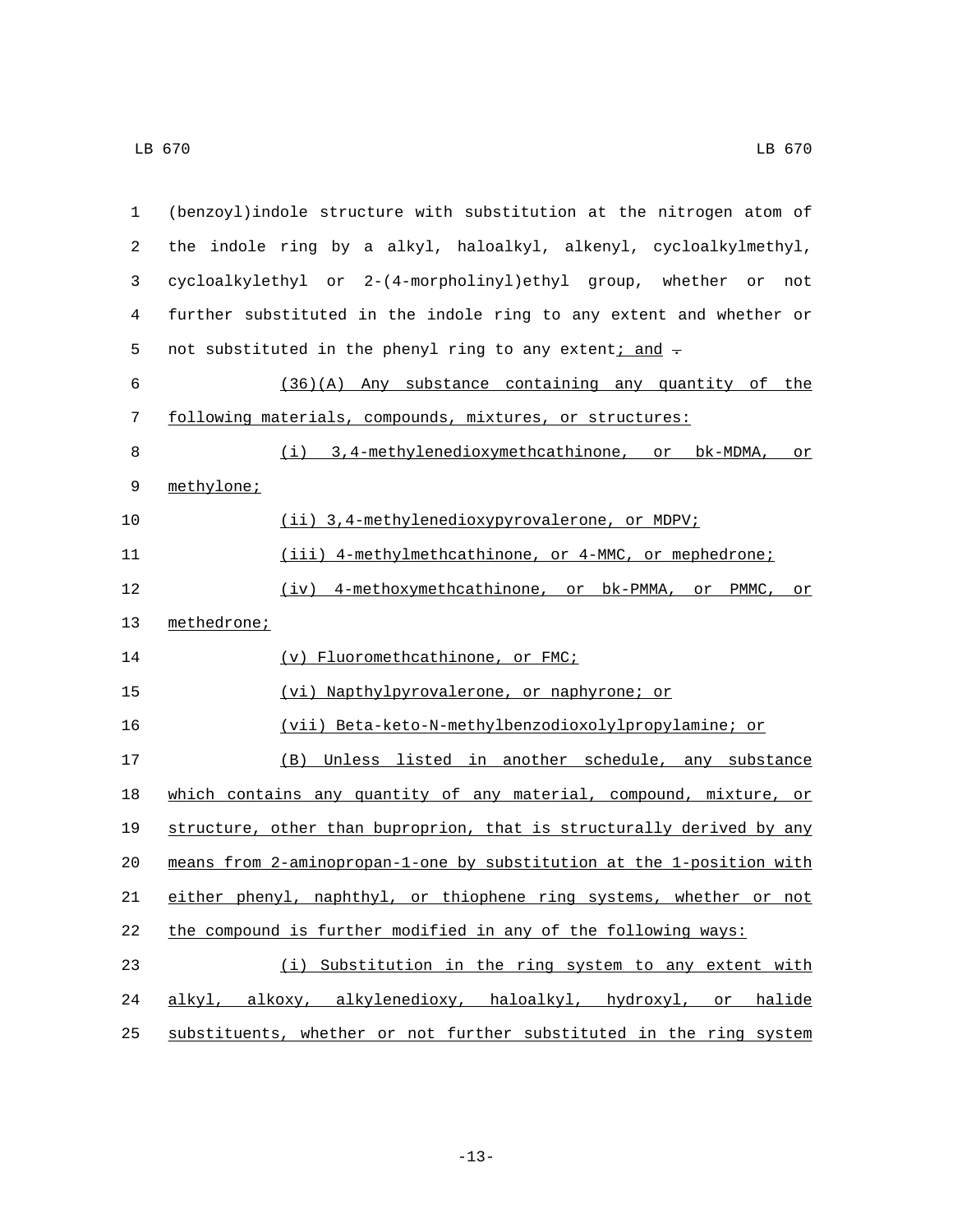| 1  | (benzoyl) indole structure with substitution at the nitrogen atom of  |
|----|-----------------------------------------------------------------------|
| 2  | the indole ring by a alkyl, haloalkyl, alkenyl, cycloalkylmethyl,     |
| 3  | cycloalkylethyl or 2-(4-morpholinyl)ethyl group, whether or<br>not    |
| 4  | further substituted in the indole ring to any extent and whether or   |
| 5  | not substituted in the phenyl ring to any extent; and -               |
| 6  | (36)(A) Any substance containing any quantity of the                  |
| 7  | following materials, compounds, mixtures, or structures:              |
| 8  | (i) 3,4-methylenedioxymethcathinone, or bk-MDMA,<br>or                |
| 9  | methylone;                                                            |
| 10 | (ii) 3,4-methylenedioxypyrovalerone, or MDPV;                         |
| 11 | (iii) 4-methylmethcathinone, or 4-MMC, or mephedrone;                 |
| 12 | (iv) 4-methoxymethcathinone, or bk-PMMA, or<br>PMMC,<br>or            |
| 13 | methedrone;                                                           |
| 14 | (v) Fluoromethcathinone, or FMC;                                      |
| 15 | (vi) Napthylpyrovalerone, or naphyrone; or                            |
| 16 | (vii) Beta-keto-N-methylbenzodioxolylpropylamine; or                  |
| 17 | (B)<br>Unless listed in another schedule, any substance               |
| 18 | which contains any quantity of any material, compound, mixture, or    |
| 19 | structure, other than buproprion, that is structurally derived by any |
| 20 | means from 2-aminopropan-1-one by substitution at the 1-position with |
| 21 | either phenyl, naphthyl, or thiophene ring systems, whether or not    |
| 22 | the compound is further modified in any of the following ways:        |
| 23 | (i) Substitution in the ring system to any extent with                |
| 24 | alkyl, alkoxy, alkylenedioxy, haloalkyl, hydroxyl, or halide          |
| 25 | substituents, whether or not further substituted in the ring system   |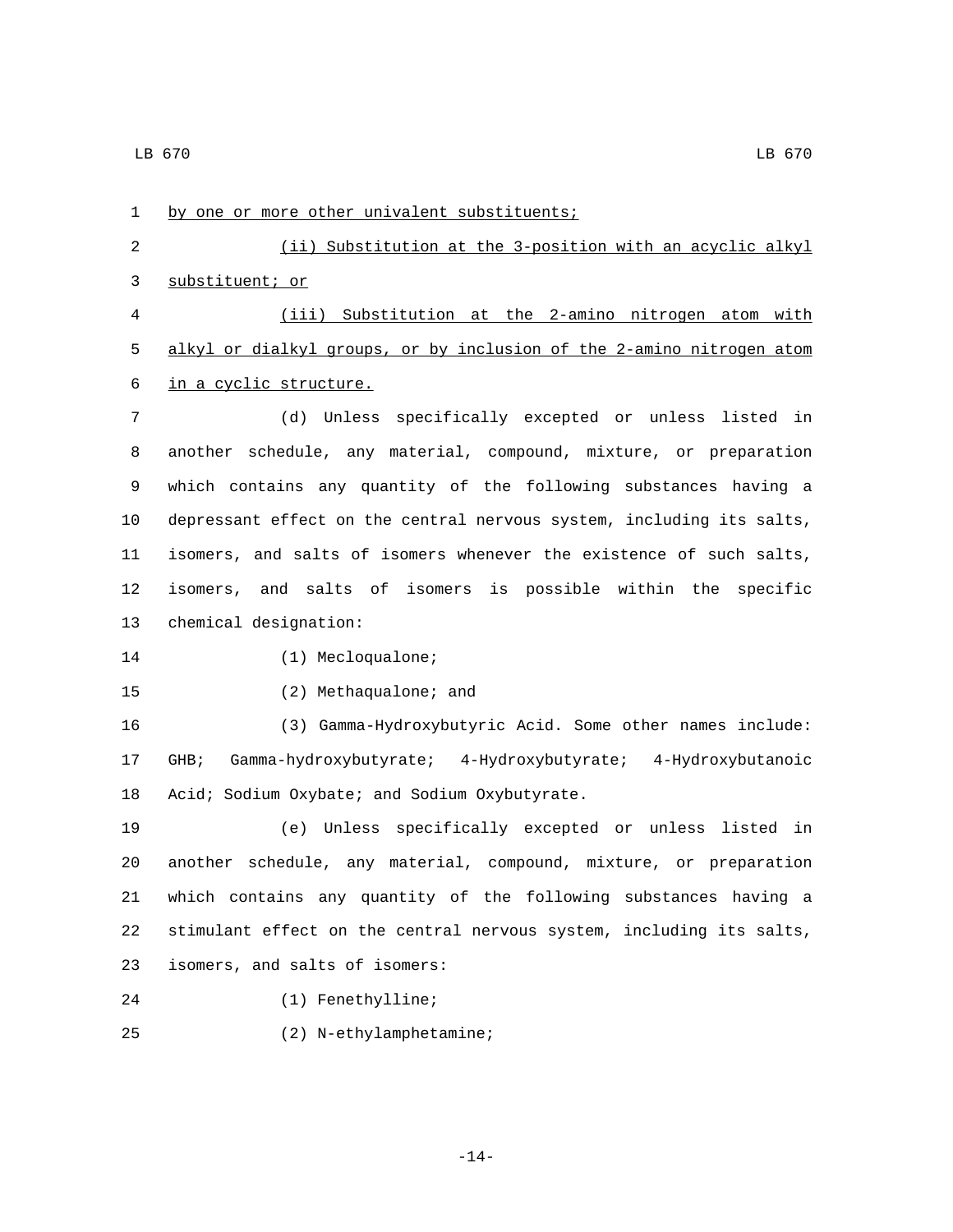1 by one or more other univalent substituents; 2 (ii) Substitution at the 3-position with an acyclic alkyl 3 substituent; or 4 (iii) Substitution at the 2-amino nitrogen atom with 5 alkyl or dialkyl groups, or by inclusion of the 2-amino nitrogen atom 6 in a cyclic structure. 7 (d) Unless specifically excepted or unless listed in 8 another schedule, any material, compound, mixture, or preparation 9 which contains any quantity of the following substances having a 10 depressant effect on the central nervous system, including its salts, 11 isomers, and salts of isomers whenever the existence of such salts, 12 isomers, and salts of isomers is possible within the specific 13 chemical designation: 14 (1) Mecloqualone; 15 (2) Methaqualone; and 16 (3) Gamma-Hydroxybutyric Acid. Some other names include: 17 GHB; Gamma-hydroxybutyrate; 4-Hydroxybutyrate; 4-Hydroxybutanoic 18 Acid; Sodium Oxybate; and Sodium Oxybutyrate. 19 (e) Unless specifically excepted or unless listed in 20 another schedule, any material, compound, mixture, or preparation 21 which contains any quantity of the following substances having a 22 stimulant effect on the central nervous system, including its salts, isomers, and salts of isomers:23 24 (1) Fenethylline; (2) N-ethylamphetamine;25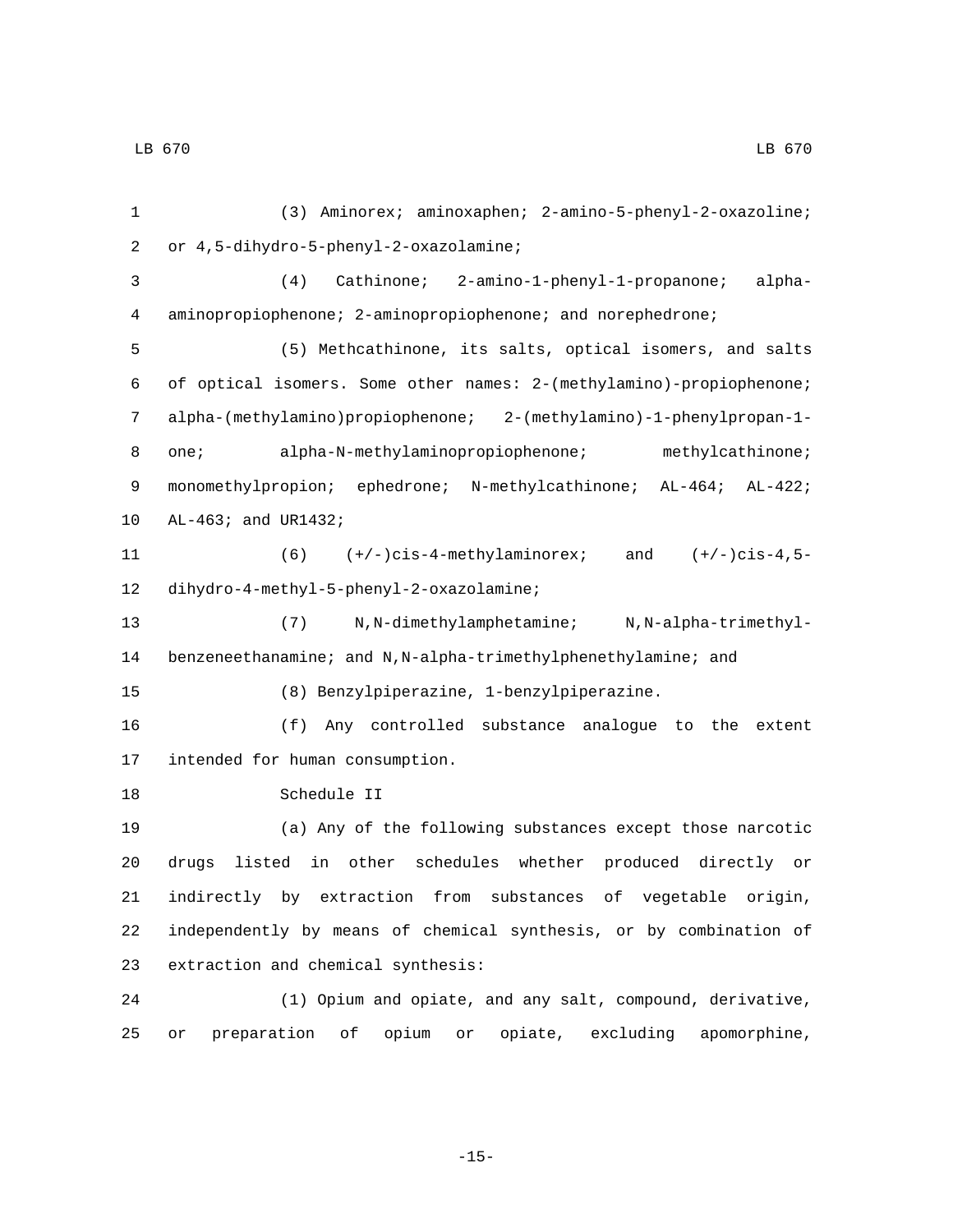(3) Aminorex; aminoxaphen; 2-amino-5-phenyl-2-oxazoline; or 4,5-dihydro-5-phenyl-2-oxazolamine;2 (4) Cathinone; 2-amino-1-phenyl-1-propanone; alpha- aminopropiophenone; 2-aminopropiophenone; and norephedrone; (5) Methcathinone, its salts, optical isomers, and salts of optical isomers. Some other names: 2-(methylamino)-propiophenone; alpha-(methylamino)propiophenone; 2-(methylamino)-1-phenylpropan-1- 8 one; alpha-N-methylaminopropiophenone; methylcathinone; 9 monomethylpropion; ephedrone; N-methylcathinone; AL-464; AL-422; 10 AL-463; and UR1432; (6) (+/-)cis-4-methylaminorex; and (+/-)cis-4,5- 12 dihydro-4-methyl-5-phenyl-2-oxazolamine; (7) N,N-dimethylamphetamine; N,N-alpha-trimethyl- benzeneethanamine; and N,N-alpha-trimethylphenethylamine; and (8) Benzylpiperazine, 1-benzylpiperazine. (f) Any controlled substance analogue to the extent 17 intended for human consumption. 18 Schedule II (a) Any of the following substances except those narcotic drugs listed in other schedules whether produced directly or indirectly by extraction from substances of vegetable origin, independently by means of chemical synthesis, or by combination of 23 extraction and chemical synthesis: (1) Opium and opiate, and any salt, compound, derivative, or preparation of opium or opiate, excluding apomorphine,

-15-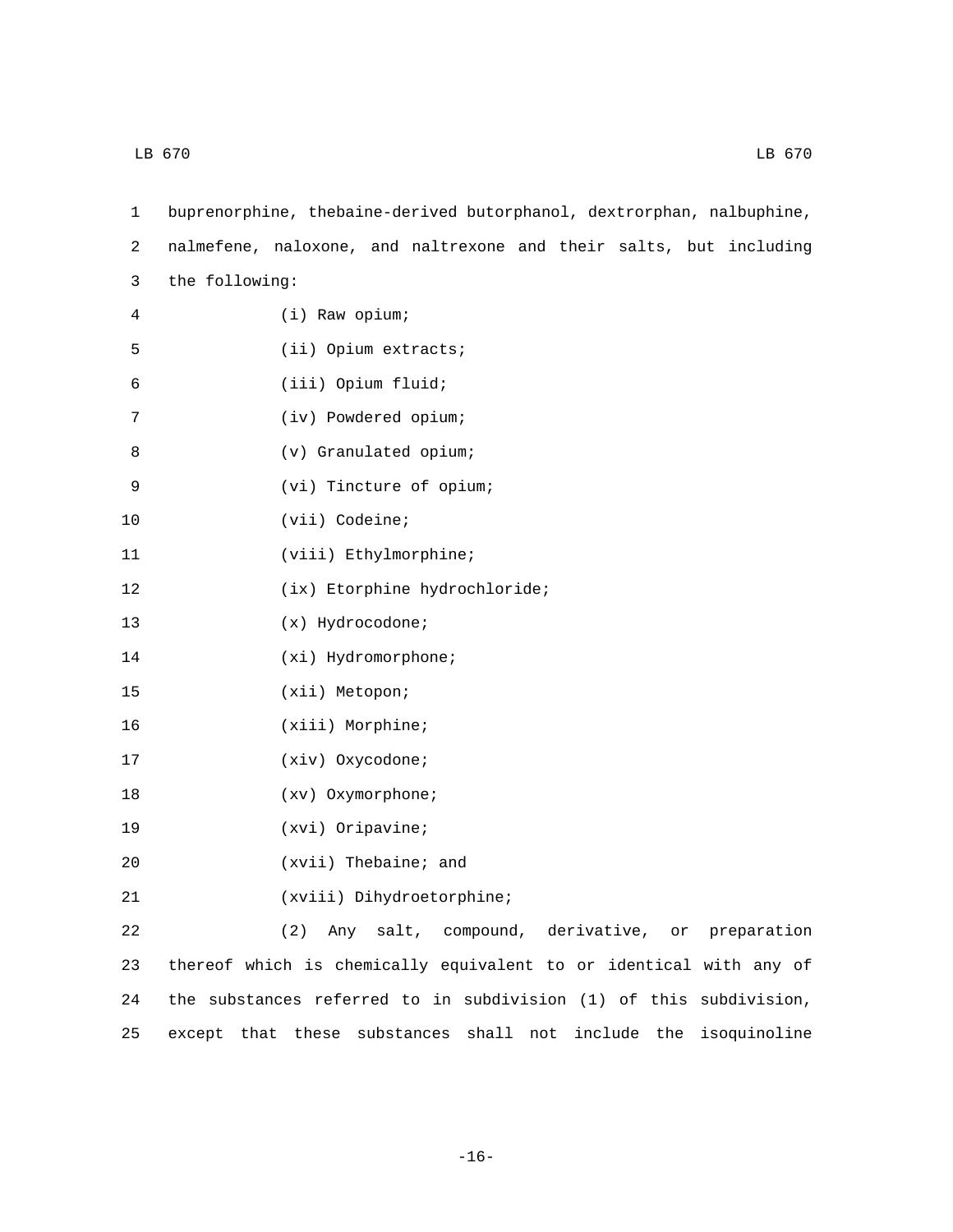| $\mathbf{1}$ | buprenorphine, thebaine-derived butorphanol, dextrorphan, nalbuphine, |
|--------------|-----------------------------------------------------------------------|
| 2            | nalmefene, naloxone, and naltrexone and their salts, but including    |
| 3            | the following:                                                        |
| 4            | (i) Raw opium;                                                        |
| 5            | (ii) Opium extracts;                                                  |
| 6            | (iii) Opium fluid;                                                    |
| 7            | (iv) Powdered opium;                                                  |
| 8            | (v) Granulated opium;                                                 |
| 9            | (vi) Tincture of opium;                                               |
| 10           | (vii) Codeine;                                                        |
| 11           | (viii) Ethylmorphine;                                                 |
| 12           | (ix) Etorphine hydrochloride;                                         |
| 13           | $(x)$ Hydrocodone;                                                    |
| 14           | $(xi)$ Hydromorphone;                                                 |
| 15           | (xii) Metopon;                                                        |
| 16           | (xiii) Morphine;                                                      |
| 17           | (xiv) Oxycodone;                                                      |
| 18           | (xv) Oxymorphone;                                                     |
| 19           | $(xvi)$ Oripavine;                                                    |
| 20           | (xvii) Thebaine; and                                                  |
| 21           | (xviii) Dihydroetorphine;                                             |
| 22           | (2)<br>Any salt, compound, derivative, or preparation                 |
| 23           | thereof which is chemically equivalent to or identical with any of    |
| 24           | the substances referred to in subdivision (1) of this subdivision,    |
| 25           | except that these substances shall not include the isoquinoline       |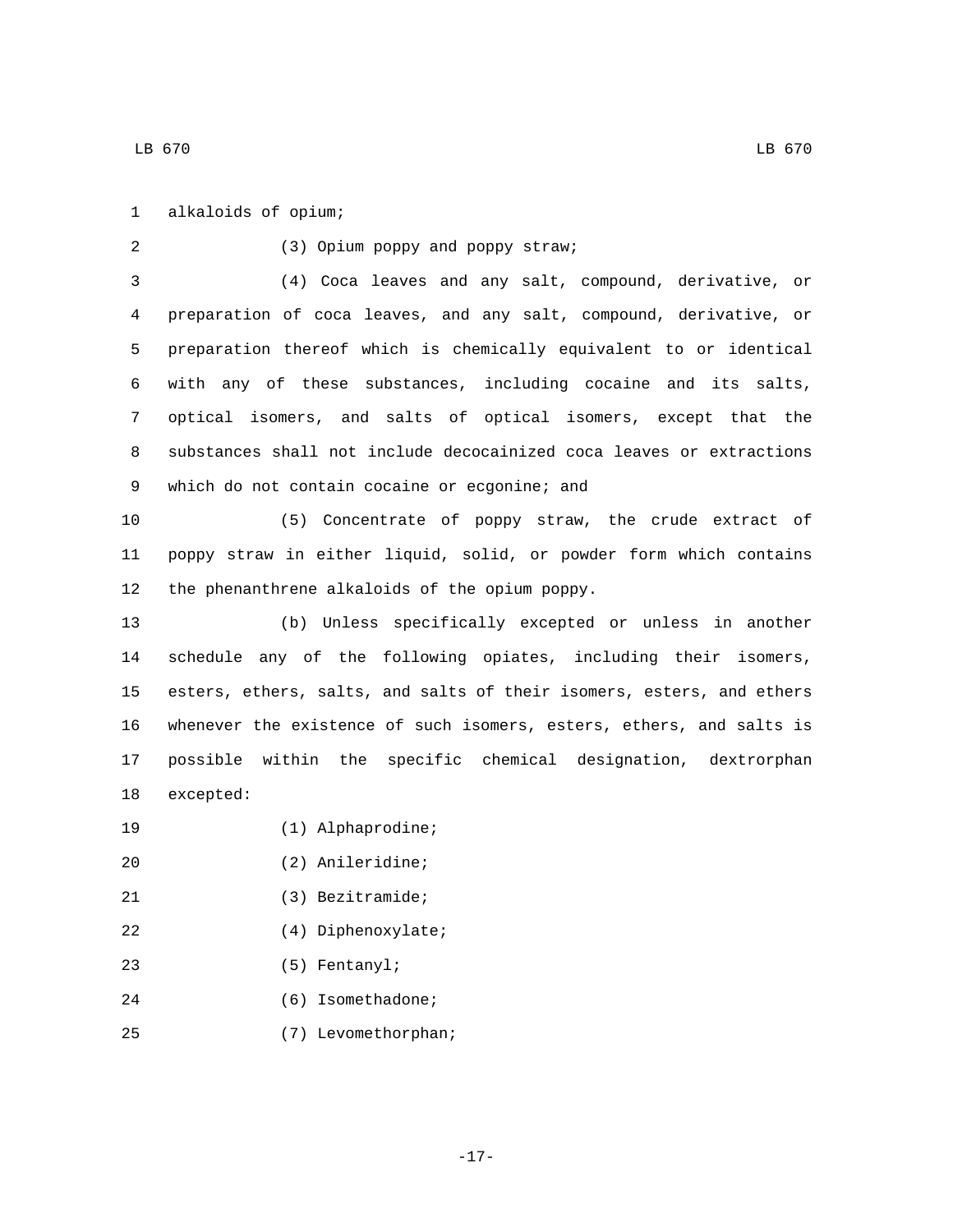alkaloids of opium;1

(3) Opium poppy and poppy straw;2 3 (4) Coca leaves and any salt, compound, derivative, or 4 preparation of coca leaves, and any salt, compound, derivative, or 5 preparation thereof which is chemically equivalent to or identical 6 with any of these substances, including cocaine and its salts, 7 optical isomers, and salts of optical isomers, except that the 8 substances shall not include decocainized coca leaves or extractions 9 which do not contain cocaine or ecgonine; and 10 (5) Concentrate of poppy straw, the crude extract of 11 poppy straw in either liquid, solid, or powder form which contains 12 the phenanthrene alkaloids of the opium poppy. 13 (b) Unless specifically excepted or unless in another 14 schedule any of the following opiates, including their isomers, 15 esters, ethers, salts, and salts of their isomers, esters, and ethers 16 whenever the existence of such isomers, esters, ethers, and salts is 17 possible within the specific chemical designation, dextrorphan 18 excepted: 19 (1) Alphaprodine; (2) Anileridine;20 21 (3) Bezitramide; 22 (4) Diphenoxylate; (5) Fentanyl;23

24 (6) Isomethadone; (7) Levomethorphan;25

-17-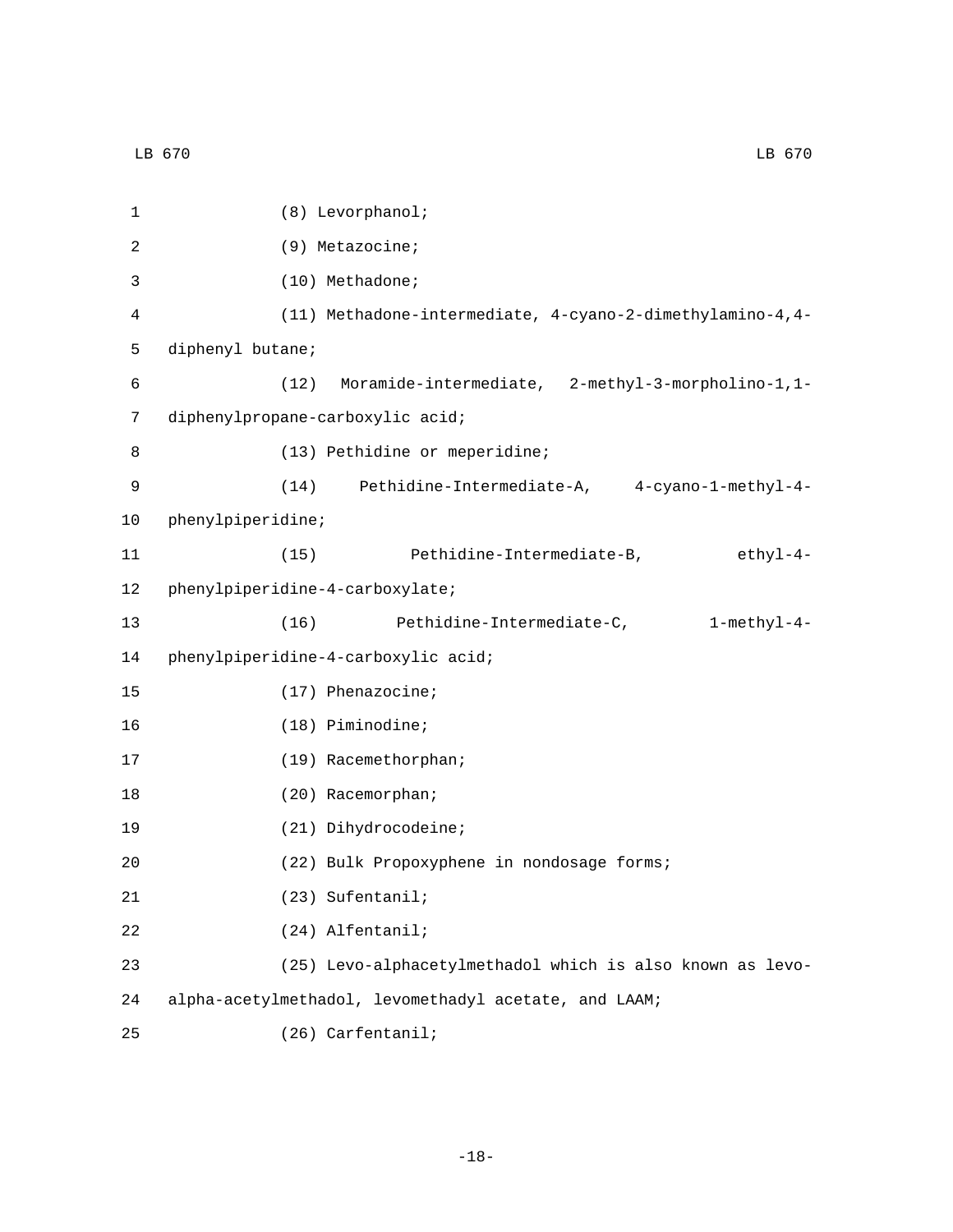|              | LB 670<br>LB 670                                          |
|--------------|-----------------------------------------------------------|
|              |                                                           |
| $\mathbf{1}$ | (8) Levorphanol;                                          |
| 2            | (9) Metazocine;                                           |
| 3            | (10) Methadone;                                           |
| 4            | (11) Methadone-intermediate, 4-cyano-2-dimethylamino-4,4- |
| 5            | diphenyl butane;                                          |
| 6            | Moramide-intermediate, 2-methyl-3-morpholino-1,1-<br>(12) |
| 7            | diphenylpropane-carboxylic acid;                          |
| 8            | (13) Pethidine or meperidine;                             |
| 9            | (14)<br>Pethidine-Intermediate-A, 4-cyano-1-methyl-4-     |
| 10           | phenylpiperidine;                                         |
| 11           | (15)<br>Pethidine-Intermediate-B,<br>ethyl-4-             |
| 12           | phenylpiperidine-4-carboxylate;                           |
| 13           | (16)<br>Pethidine-Intermediate-C,<br>$1$ -methy $1-4-$    |
| 14           | phenylpiperidine-4-carboxylic acid;                       |
| 15           | $(17)$ Phenazocine;                                       |
| 16           | $(18)$ Piminodine;                                        |
| 17           | (19) Racemethorphan;                                      |
| 18           | (20) Racemorphan;                                         |
| 19           | (21) Dihydrocodeine;                                      |
|              |                                                           |

20 (22) Bulk Propoxyphene in nondosage forms;

(23) Sufentanil;21

(24) Alfentanil;22

23 (25) Levo-alphacetylmethadol which is also known as levo-

24 alpha-acetylmethadol, levomethadyl acetate, and LAAM;

(26) Carfentanil;25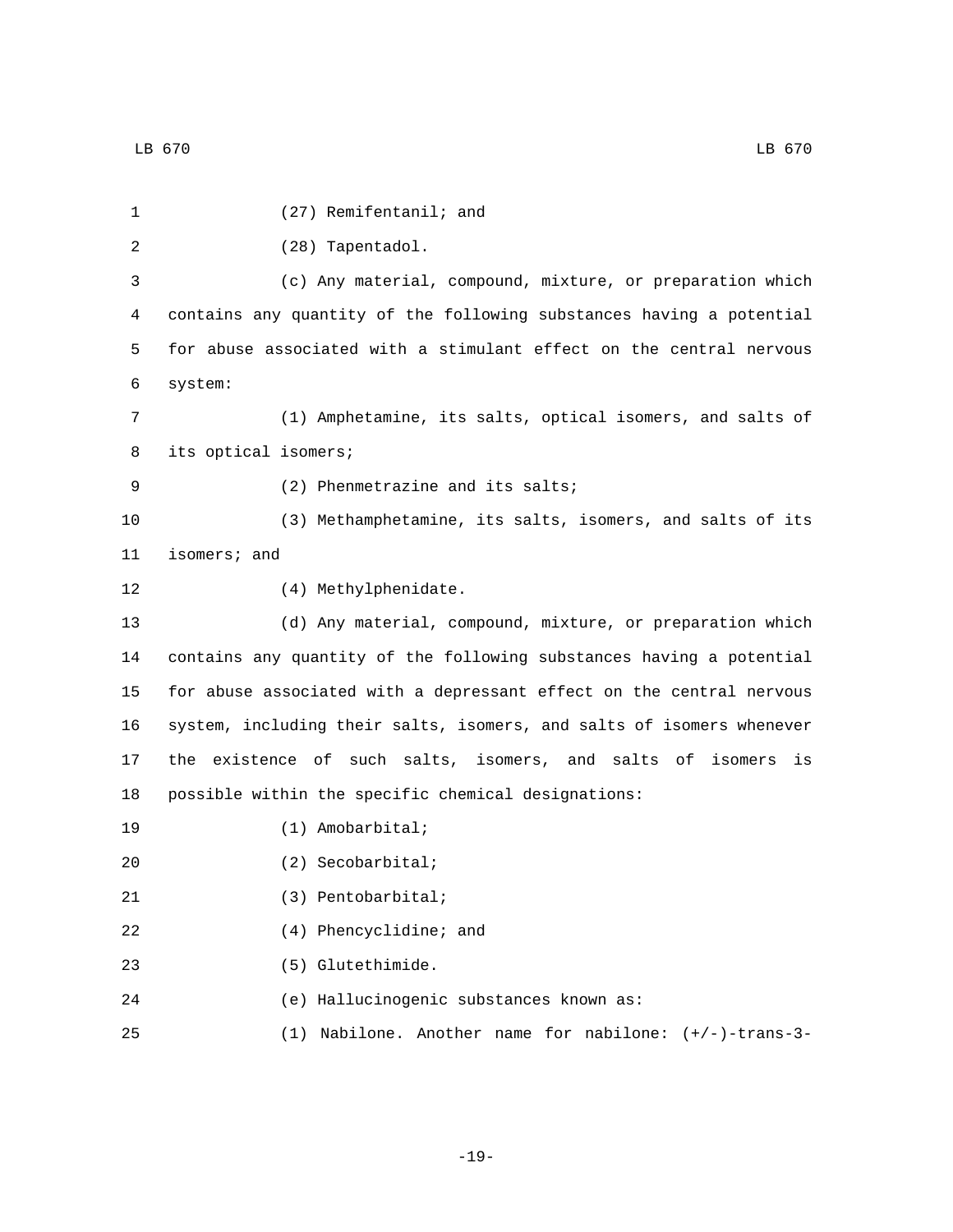| 1  | (27) Remifentanil; and                                                |
|----|-----------------------------------------------------------------------|
| 2  | (28) Tapentadol.                                                      |
| 3  | (c) Any material, compound, mixture, or preparation which             |
| 4  | contains any quantity of the following substances having a potential  |
| 5  | for abuse associated with a stimulant effect on the central nervous   |
| 6  | system:                                                               |
| 7  | (1) Amphetamine, its salts, optical isomers, and salts of             |
| 8  | its optical isomers;                                                  |
| 9  | (2) Phenmetrazine and its salts;                                      |
| 10 | (3) Methamphetamine, its salts, isomers, and salts of its             |
| 11 | isomers; and                                                          |
| 12 | (4) Methylphenidate.                                                  |
| 13 | (d) Any material, compound, mixture, or preparation which             |
| 14 | contains any quantity of the following substances having a potential  |
| 15 | for abuse associated with a depressant effect on the central nervous  |
| 16 | system, including their salts, isomers, and salts of isomers whenever |
| 17 | the existence of such salts, isomers, and salts of isomers<br>is      |
| 18 | possible within the specific chemical designations:                   |
| 19 | $(1)$ Amobarbital;                                                    |
| 20 | $(2)$ Secobarbital;                                                   |
| 21 | (3) Pentobarbital;                                                    |
| 22 | (4) Phencyclidine; and                                                |
| 23 | (5) Glutethimide.                                                     |
| 24 | (e) Hallucinogenic substances known as:                               |
| 25 | (1) Nabilone. Another name for nabilone: $(+/-)$ -trans-3-            |

-19-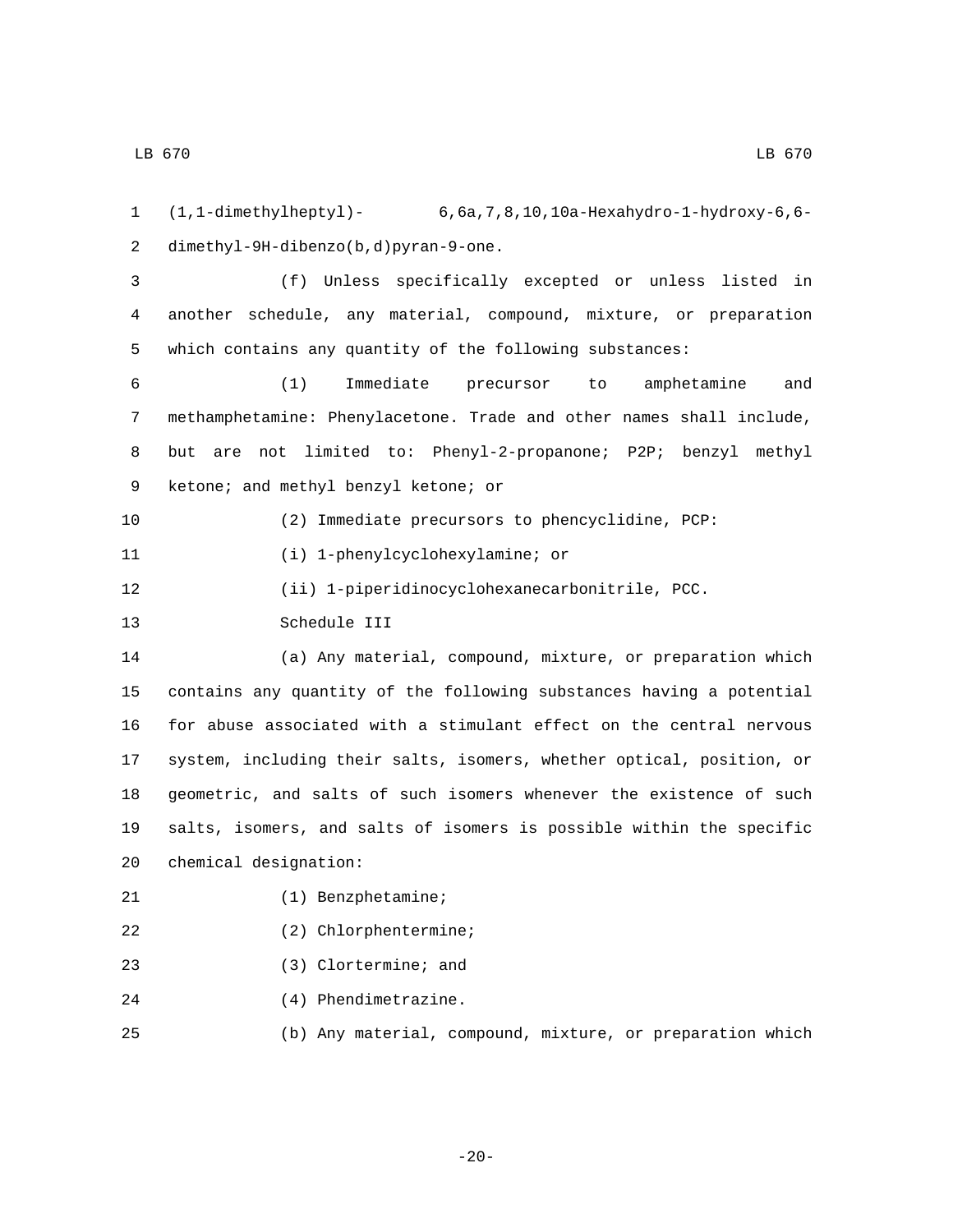1 (1,1-dimethylheptyl)- 6,6a,7,8,10,10a-Hexahydro-1-hydroxy-6,6 dimethyl-9H-dibenzo(b,d)pyran-9-one.2

3 (f) Unless specifically excepted or unless listed in 4 another schedule, any material, compound, mixture, or preparation 5 which contains any quantity of the following substances:

 (1) Immediate precursor to amphetamine and methamphetamine: Phenylacetone. Trade and other names shall include, but are not limited to: Phenyl-2-propanone; P2P; benzyl methyl 9 ketone; and methyl benzyl ketone; or

10 (2) Immediate precursors to phencyclidine, PCP:

11 (i) 1-phenylcyclohexylamine; or

12 (ii) 1-piperidinocyclohexanecarbonitrile, PCC.

13 Schedule III

 (a) Any material, compound, mixture, or preparation which contains any quantity of the following substances having a potential for abuse associated with a stimulant effect on the central nervous system, including their salts, isomers, whether optical, position, or geometric, and salts of such isomers whenever the existence of such salts, isomers, and salts of isomers is possible within the specific 20 chemical designation:

- 21 (1) Benzphetamine;
- (2) Chlorphentermine;
- (3) Clortermine; and
- 24 (4) Phendimetrazine.
- 25 (b) Any material, compound, mixture, or preparation which

-20-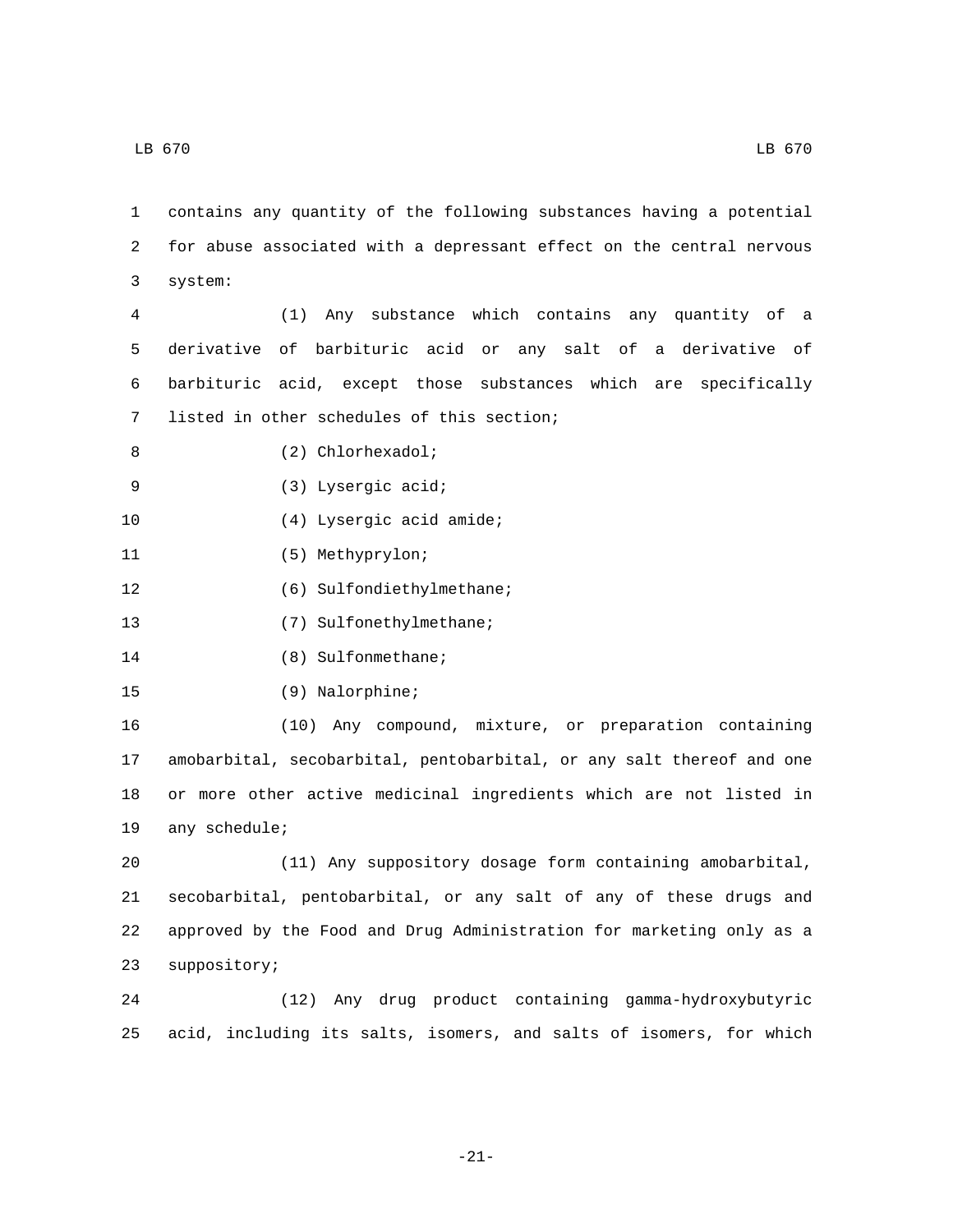1 contains any quantity of the following substances having a potential 2 for abuse associated with a depressant effect on the central nervous system:3

 (1) Any substance which contains any quantity of a derivative of barbituric acid or any salt of a derivative of barbituric acid, except those substances which are specifically 7 listed in other schedules of this section;

- 8 (2) Chlorhexadol;
- (3) Lysergic acid;9
- 10 (4) Lysergic acid amide;
- 11 (5) Methyprylon;
- 12 (6) Sulfondiethylmethane;
- 13 (7) Sulfonethylmethane;
- 14 (8) Sulfonmethane;
- 15 (9) Nalorphine;

 (10) Any compound, mixture, or preparation containing amobarbital, secobarbital, pentobarbital, or any salt thereof and one or more other active medicinal ingredients which are not listed in 19 any schedule;

 (11) Any suppository dosage form containing amobarbital, secobarbital, pentobarbital, or any salt of any of these drugs and approved by the Food and Drug Administration for marketing only as a 23 suppository;

24 (12) Any drug product containing gamma-hydroxybutyric 25 acid, including its salts, isomers, and salts of isomers, for which

-21-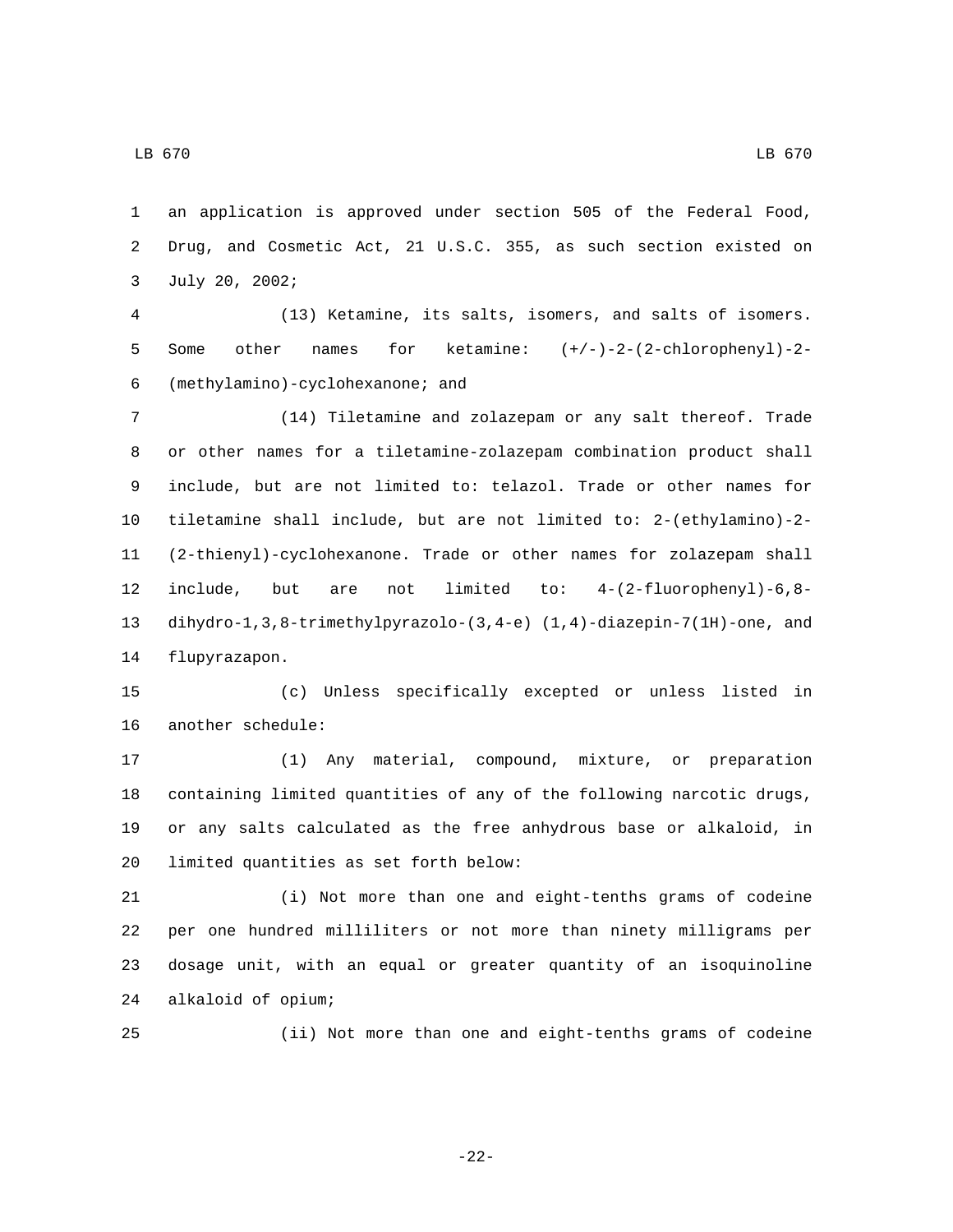an application is approved under section 505 of the Federal Food, Drug, and Cosmetic Act, 21 U.S.C. 355, as such section existed on 3 July 20, 2002;

 (13) Ketamine, its salts, isomers, and salts of isomers. Some other names for ketamine: (+/-)-2-(2-chlorophenyl)-2- (methylamino)-cyclohexanone; and6

 (14) Tiletamine and zolazepam or any salt thereof. Trade or other names for a tiletamine-zolazepam combination product shall include, but are not limited to: telazol. Trade or other names for tiletamine shall include, but are not limited to: 2-(ethylamino)-2- (2-thienyl)-cyclohexanone. Trade or other names for zolazepam shall include, but are not limited to: 4-(2-fluorophenyl)-6,8- dihydro-1,3,8-trimethylpyrazolo-(3,4-e) (1,4)-diazepin-7(1H)-one, and 14 flupyrazapon.

 (c) Unless specifically excepted or unless listed in 16 another schedule:

 (1) Any material, compound, mixture, or preparation containing limited quantities of any of the following narcotic drugs, or any salts calculated as the free anhydrous base or alkaloid, in 20 limited quantities as set forth below:

 (i) Not more than one and eight-tenths grams of codeine per one hundred milliliters or not more than ninety milligrams per dosage unit, with an equal or greater quantity of an isoquinoline alkaloid of opium;24

(ii) Not more than one and eight-tenths grams of codeine

-22-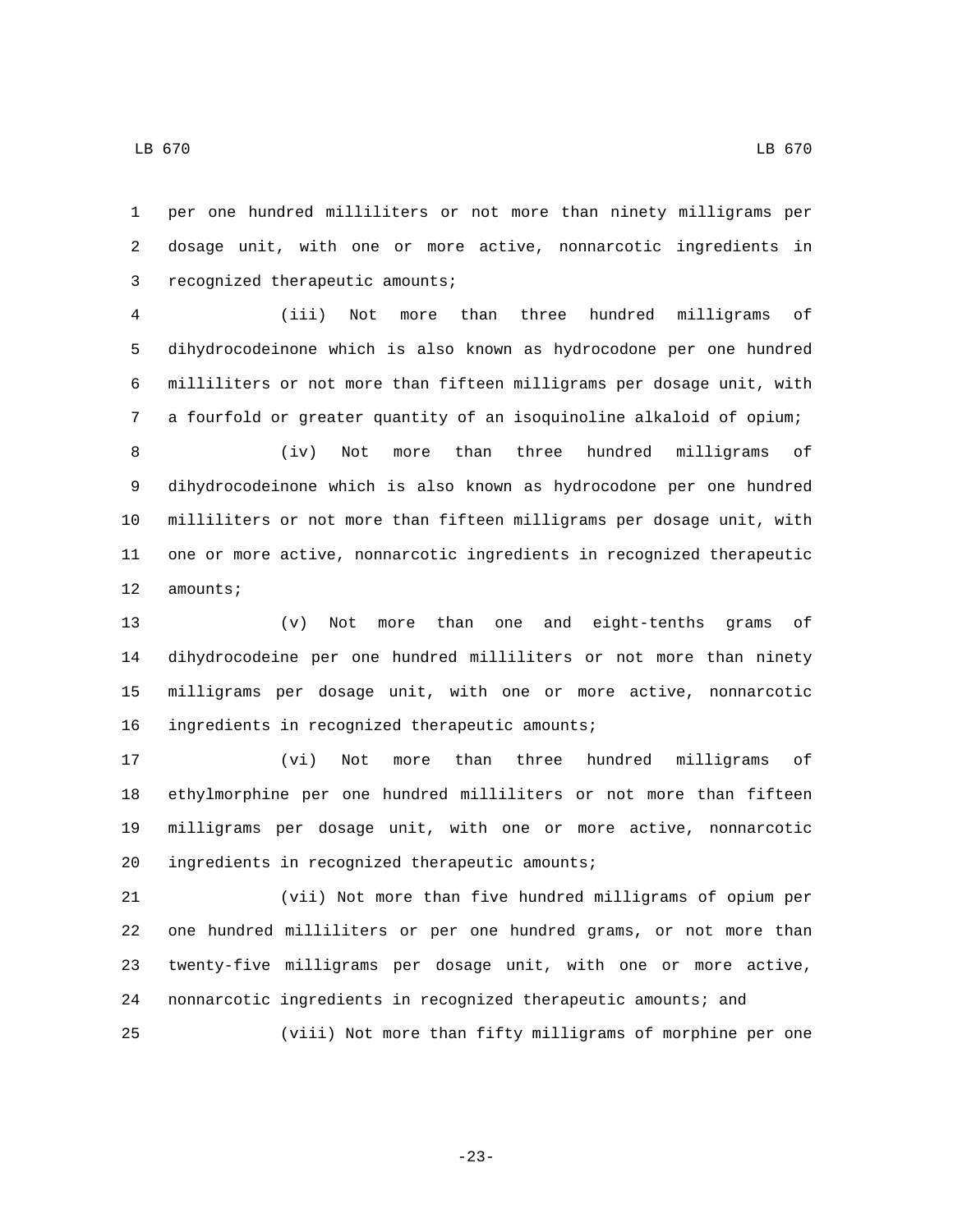per one hundred milliliters or not more than ninety milligrams per dosage unit, with one or more active, nonnarcotic ingredients in 3 recognized therapeutic amounts;

 (iii) Not more than three hundred milligrams of dihydrocodeinone which is also known as hydrocodone per one hundred milliliters or not more than fifteen milligrams per dosage unit, with a fourfold or greater quantity of an isoquinoline alkaloid of opium;

 (iv) Not more than three hundred milligrams of dihydrocodeinone which is also known as hydrocodone per one hundred milliliters or not more than fifteen milligrams per dosage unit, with one or more active, nonnarcotic ingredients in recognized therapeutic 12 amounts;

 (v) Not more than one and eight-tenths grams of dihydrocodeine per one hundred milliliters or not more than ninety milligrams per dosage unit, with one or more active, nonnarcotic 16 ingredients in recognized therapeutic amounts;

 (vi) Not more than three hundred milligrams of ethylmorphine per one hundred milliliters or not more than fifteen milligrams per dosage unit, with one or more active, nonnarcotic 20 ingredients in recognized therapeutic amounts;

 (vii) Not more than five hundred milligrams of opium per one hundred milliliters or per one hundred grams, or not more than twenty-five milligrams per dosage unit, with one or more active, nonnarcotic ingredients in recognized therapeutic amounts; and (viii) Not more than fifty milligrams of morphine per one

-23-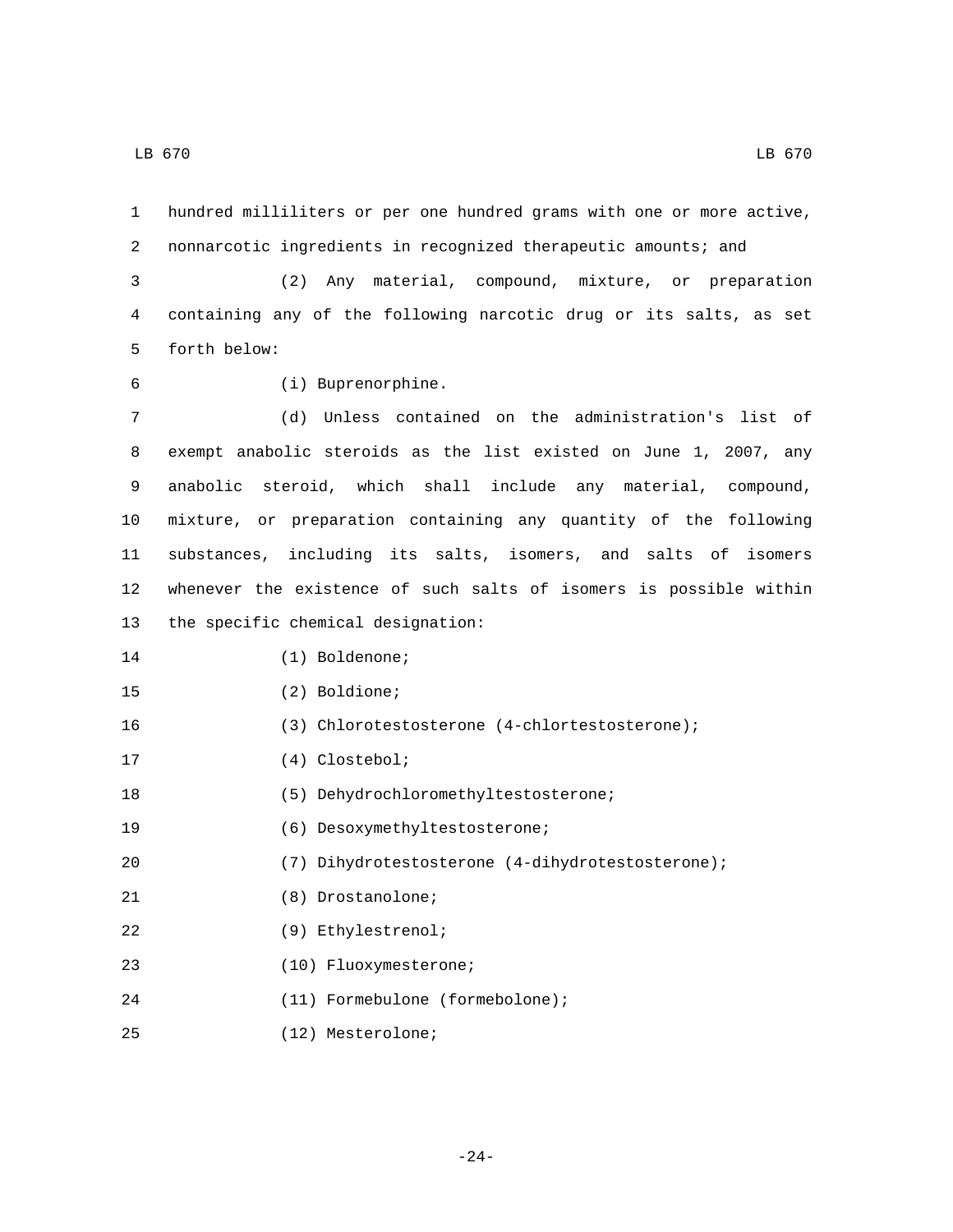1 hundred milliliters or per one hundred grams with one or more active, 2 nonnarcotic ingredients in recognized therapeutic amounts; and

3 (2) Any material, compound, mixture, or preparation 4 containing any of the following narcotic drug or its salts, as set 5 forth below:

- 
- (i) Buprenorphine.6

 (d) Unless contained on the administration's list of exempt anabolic steroids as the list existed on June 1, 2007, any anabolic steroid, which shall include any material, compound, mixture, or preparation containing any quantity of the following substances, including its salts, isomers, and salts of isomers whenever the existence of such salts of isomers is possible within 13 the specific chemical designation:

15 (2) Boldione;

16 (3) Chlorotestosterone (4-chlortestosterone);

17 (4) Clostebol;

18 (5) Dehydrochloromethyltestosterone;

19 (6) Desoxymethyltestosterone;

20 (7) Dihydrotestosterone (4-dihydrotestosterone);

- 21 (8) Drostanolone;
- (9) Ethylestrenol;22
- (10) Fluoxymesterone;23
- (11) Formebulone (formebolone);24
- (12) Mesterolone;25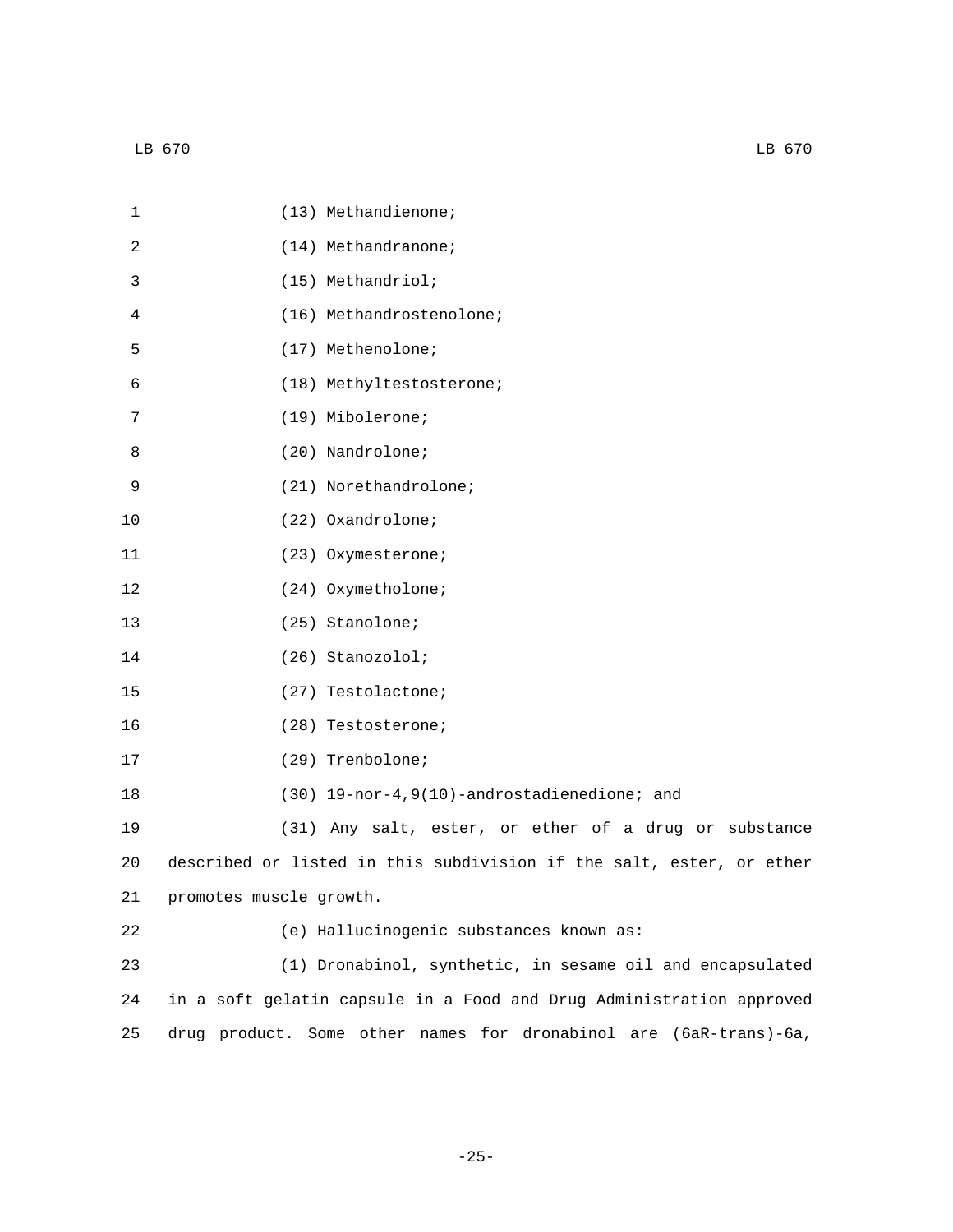| 1  | (13) Methandienone;                                                  |
|----|----------------------------------------------------------------------|
| 2  | $(14)$ Methandranone;                                                |
| 3  | (15) Methandriol;                                                    |
| 4  | (16) Methandrostenolone;                                             |
| 5  | (17) Methenolone;                                                    |
| 6  | (18) Methyltestosterone;                                             |
| 7  | (19) Mibolerone;                                                     |
| 8  | (20) Nandrolone;                                                     |
| 9  | (21) Norethandrolone;                                                |
| 10 | (22) Oxandrolone;                                                    |
| 11 | (23) Oxymesterone;                                                   |
| 12 | (24) Oxymetholone;                                                   |
| 13 | (25) Stanolone;                                                      |
| 14 | (26) Stanozolol;                                                     |
| 15 | (27) Testolactone;                                                   |
| 16 | (28) Testosterone;                                                   |
| 17 | (29) Trenbolone;                                                     |
| 18 | (30) 19-nor-4, 9(10)-androstadienedione; and                         |
| 19 | (31) Any salt, ester, or ether of a drug or substance                |
| 20 | described or listed in this subdivision if the salt, ester, or ether |
| 21 | promotes muscle growth.                                              |
| 22 | (e) Hallucinogenic substances known as:                              |
| 23 | (1) Dronabinol, synthetic, in sesame oil and encapsulated            |
| 24 | in a soft gelatin capsule in a Food and Drug Administration approved |
| 25 | drug product. Some other names for dronabinol are (6aR-trans)-6a,    |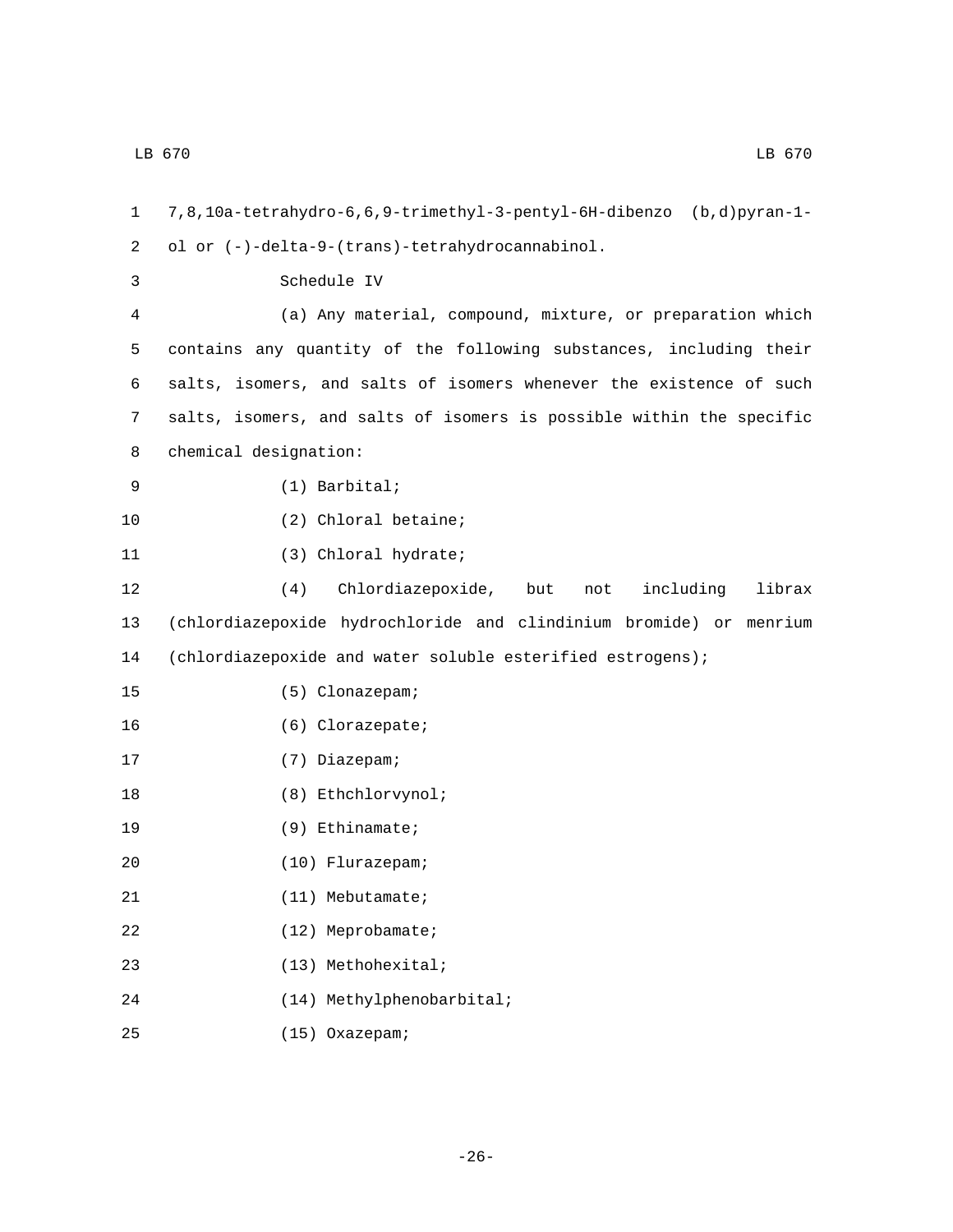1 7,8,10a-tetrahydro-6,6,9-trimethyl-3-pentyl-6H-dibenzo (b,d)pyran-1 ol or (-)-delta-9-(trans)-tetrahydrocannabinol.2 3 Schedule IV 4 (a) Any material, compound, mixture, or preparation which 5 contains any quantity of the following substances, including their 6 salts, isomers, and salts of isomers whenever the existence of such 7 salts, isomers, and salts of isomers is possible within the specific 8 chemical designation: (1) Barbital;9 10 (2) Chloral betaine; 11 (3) Chloral hydrate; 12 (4) Chlordiazepoxide, but not including librax 13 (chlordiazepoxide hydrochloride and clindinium bromide) or menrium 14 (chlordiazepoxide and water soluble esterified estrogens); (5) Clonazepam;15 16 (6) Clorazepate; 17 (7) Diazepam; 18 (8) Ethchlorvynol; 19 (9) Ethinamate; (10) Flurazepam;20 21 (11) Mebutamate; 22 (12) Meprobamate; (13) Methohexital;23 (14) Methylphenobarbital;24

(15) Oxazepam;25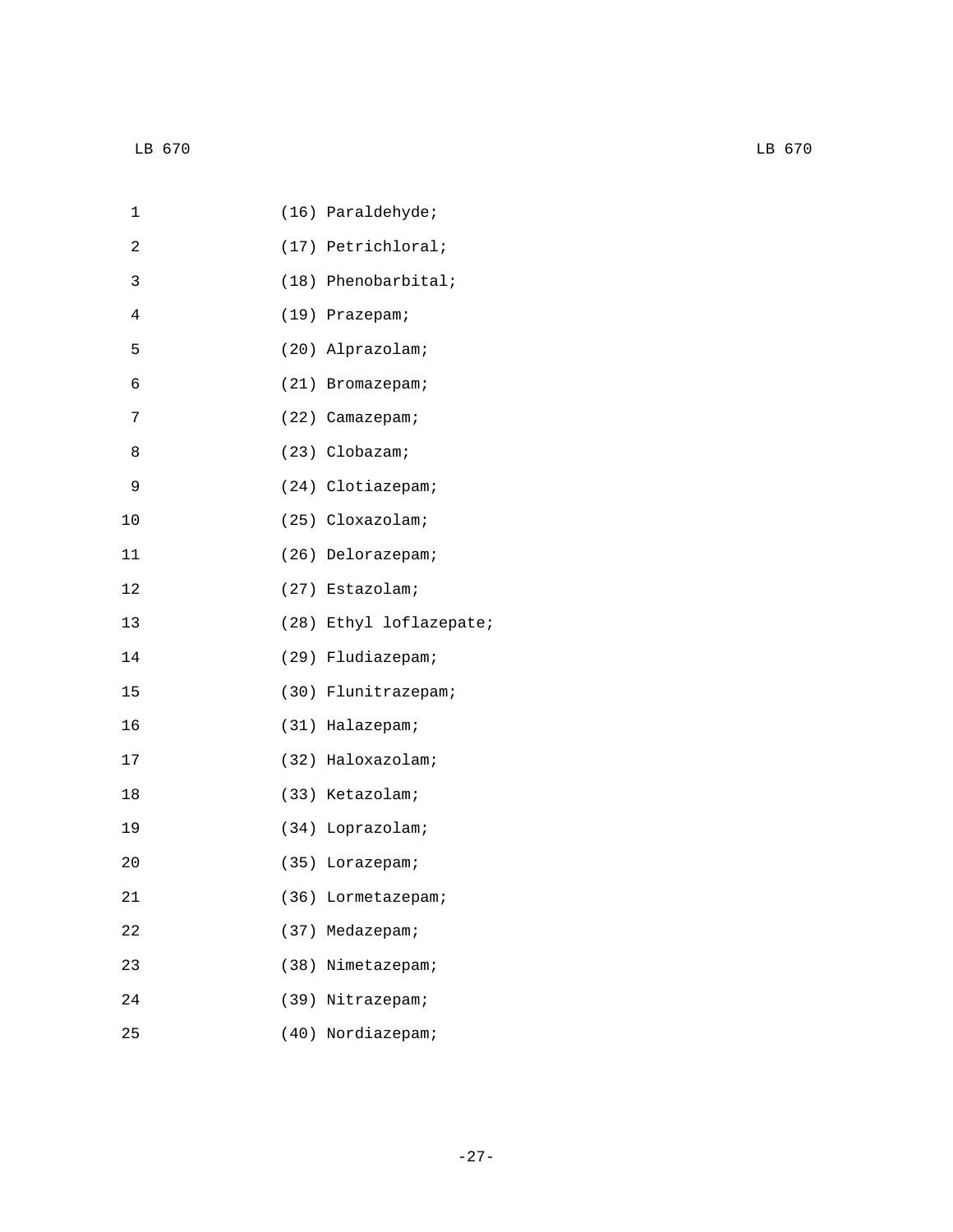| 1  | (16) Paraldehyde;       |
|----|-------------------------|
| 2  | (17) Petrichloral;      |
| 3  | $(18)$ Phenobarbital;   |
| 4  | (19) Prazepam;          |
| 5  | (20) Alprazolam;        |
| 6  | (21) Bromazepam;        |
| 7  | (22) Camazepam;         |
| 8  | (23) Clobazam;          |
| 9  | (24) Clotiazepam;       |
| 10 | (25) Cloxazolam;        |
| 11 | (26) Delorazepam;       |
| 12 | (27) Estazolam;         |
| 13 | (28) Ethyl loflazepate; |
| 14 | (29) Fludiazepam;       |
| 15 | (30) Flunitrazepam;     |
| 16 | (31) Halazepam;         |
| 17 | (32) Haloxazolam;       |
| 18 | (33) Ketazolam;         |
| 19 | (34) Loprazolam;        |
| 20 | (35) Lorazepam;         |
| 21 | (36) Lormetazepam;      |
| 22 | (37) Medazepam;         |
| 23 | (38) Nimetazepam;       |
| 24 | (39) Nitrazepam;        |
| 25 | (40) Nordiazepam;       |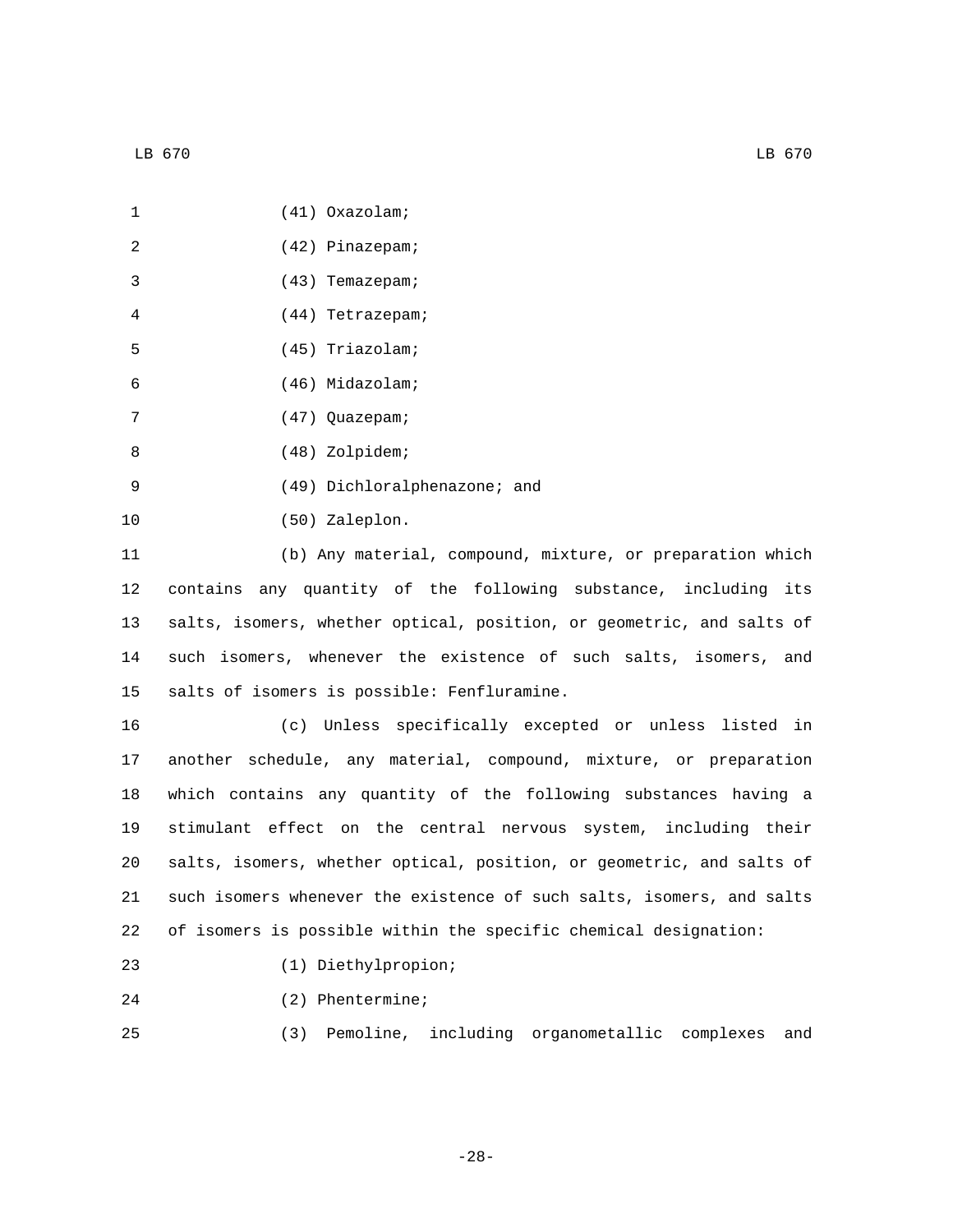| $\mathbf{1}$    | $(41)$ Oxazolam;                                                      |
|-----------------|-----------------------------------------------------------------------|
| 2               | (42) Pinazepam;                                                       |
| 3               | $(43)$ Temazepam;                                                     |
| 4               | $(44)$ Tetrazepam;                                                    |
| 5               | (45) Triazolam;                                                       |
| 6               | (46) Midazolam;                                                       |
| 7               | (47) Quazepam;                                                        |
| 8               | (48) Zolpidem;                                                        |
| 9               | (49) Dichloralphenazone; and                                          |
| 10              | (50) Zaleplon.                                                        |
| 11              | (b) Any material, compound, mixture, or preparation which             |
| 12              | contains any quantity of the following substance, including its       |
| 13 <sup>°</sup> | salts, isomers, whether optical, position, or geometric, and salts of |

14 such isomers, whenever the existence of such salts, isomers, and 15 salts of isomers is possible: Fenfluramine.

 (c) Unless specifically excepted or unless listed in another schedule, any material, compound, mixture, or preparation which contains any quantity of the following substances having a stimulant effect on the central nervous system, including their salts, isomers, whether optical, position, or geometric, and salts of such isomers whenever the existence of such salts, isomers, and salts of isomers is possible within the specific chemical designation:

- (1) Diethylpropion;23
- 24 (2) Phentermine;

25 (3) Pemoline, including organometallic complexes and

-28-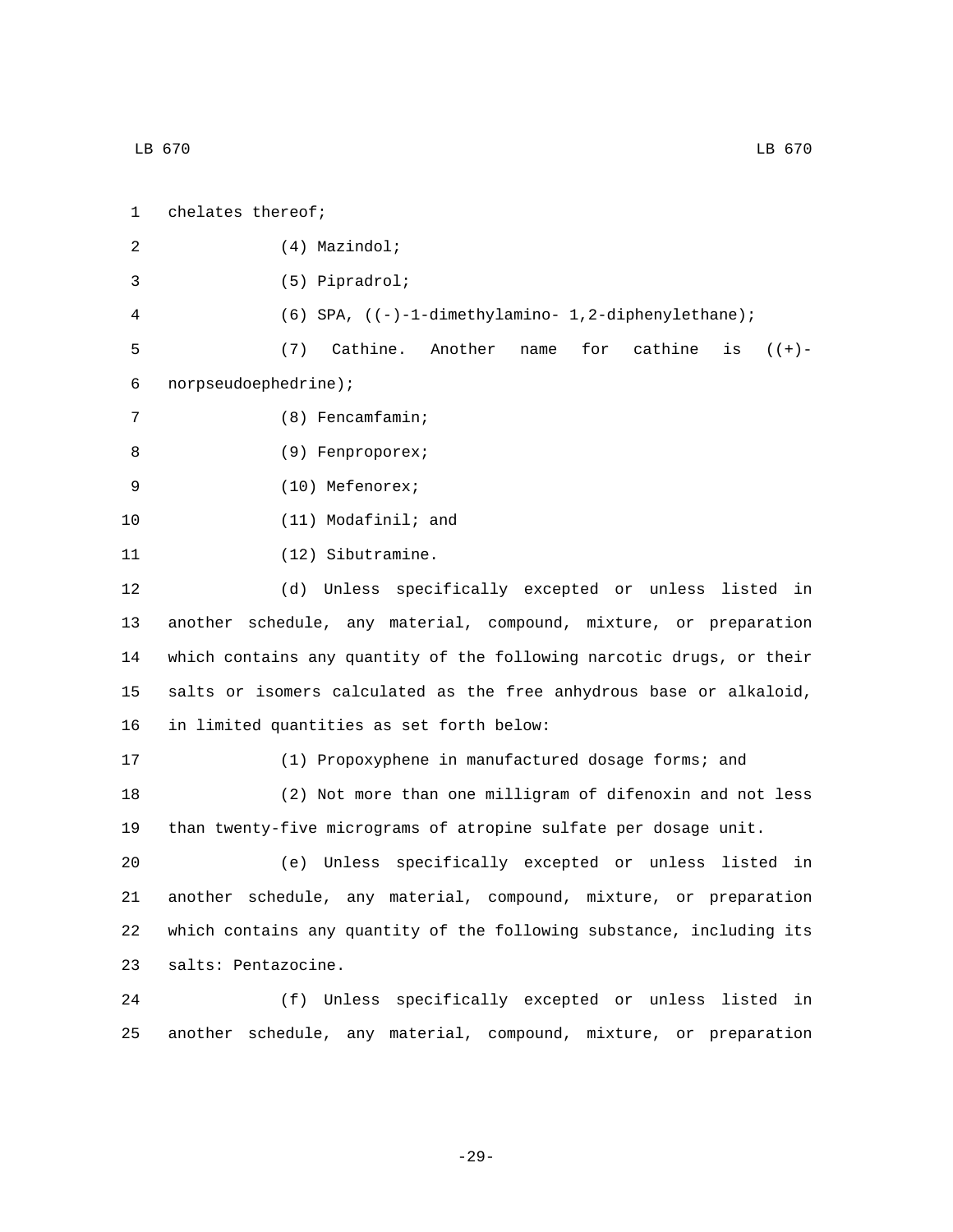| $\mathbf{1}$ | chelates thereof;                                       |
|--------------|---------------------------------------------------------|
| 2            | $(4)$ Mazindol;                                         |
| 3            | $(5)$ Pipradrol;                                        |
| 4            | $(6)$ SPA, $((-)-1-dimethylamino-1,2-diphenylethane)$ ; |
| 5            | Cathine. Another name for cathine is $((+)$ -<br>(7)    |
| 6            | norpseudoephedrine);                                    |
| 7            | $(8)$ Fencamfamin;                                      |
| 8            | (9) Fenproporex;                                        |
| 9            | $(10)$ Mefenorex;                                       |
| 10           | $(11)$ Modafinil; and                                   |
| 11           | (12) Sibutramine.                                       |
| 12           | (d) Unless specifically excepted or unless listed in    |

 another schedule, any material, compound, mixture, or preparation which contains any quantity of the following narcotic drugs, or their salts or isomers calculated as the free anhydrous base or alkaloid, 16 in limited quantities as set forth below:

17 (1) Propoxyphene in manufactured dosage forms; and 18 (2) Not more than one milligram of difenoxin and not less 19 than twenty-five micrograms of atropine sulfate per dosage unit.

 (e) Unless specifically excepted or unless listed in another schedule, any material, compound, mixture, or preparation which contains any quantity of the following substance, including its 23 salts: Pentazocine.

24 (f) Unless specifically excepted or unless listed in 25 another schedule, any material, compound, mixture, or preparation

-29-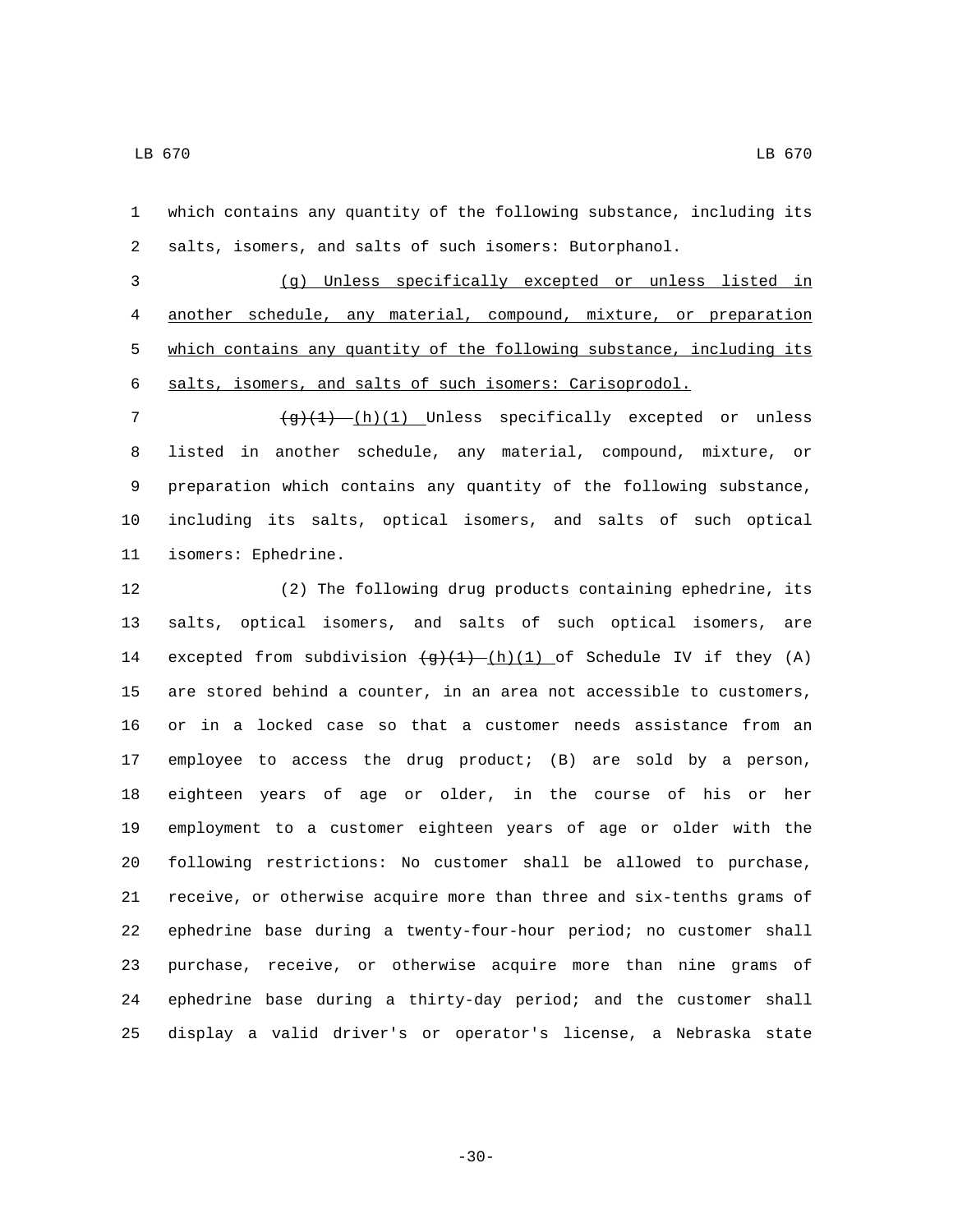which contains any quantity of the following substance, including its salts, isomers, and salts of such isomers: Butorphanol.

 (g) Unless specifically excepted or unless listed in another schedule, any material, compound, mixture, or preparation 5 which contains any quantity of the following substance, including its salts, isomers, and salts of such isomers: Carisoprodol.

 $\left(\frac{g}{1} \right)$  (h)(1) Unless specifically excepted or unless listed in another schedule, any material, compound, mixture, or preparation which contains any quantity of the following substance, including its salts, optical isomers, and salts of such optical 11 isomers: Ephedrine.

 (2) The following drug products containing ephedrine, its salts, optical isomers, and salts of such optical isomers, are 14 excepted from subdivision  $\frac{q+(1)}{h}(1)$  of Schedule IV if they (A) are stored behind a counter, in an area not accessible to customers, or in a locked case so that a customer needs assistance from an employee to access the drug product; (B) are sold by a person, eighteen years of age or older, in the course of his or her employment to a customer eighteen years of age or older with the following restrictions: No customer shall be allowed to purchase, receive, or otherwise acquire more than three and six-tenths grams of ephedrine base during a twenty-four-hour period; no customer shall purchase, receive, or otherwise acquire more than nine grams of ephedrine base during a thirty-day period; and the customer shall display a valid driver's or operator's license, a Nebraska state

-30-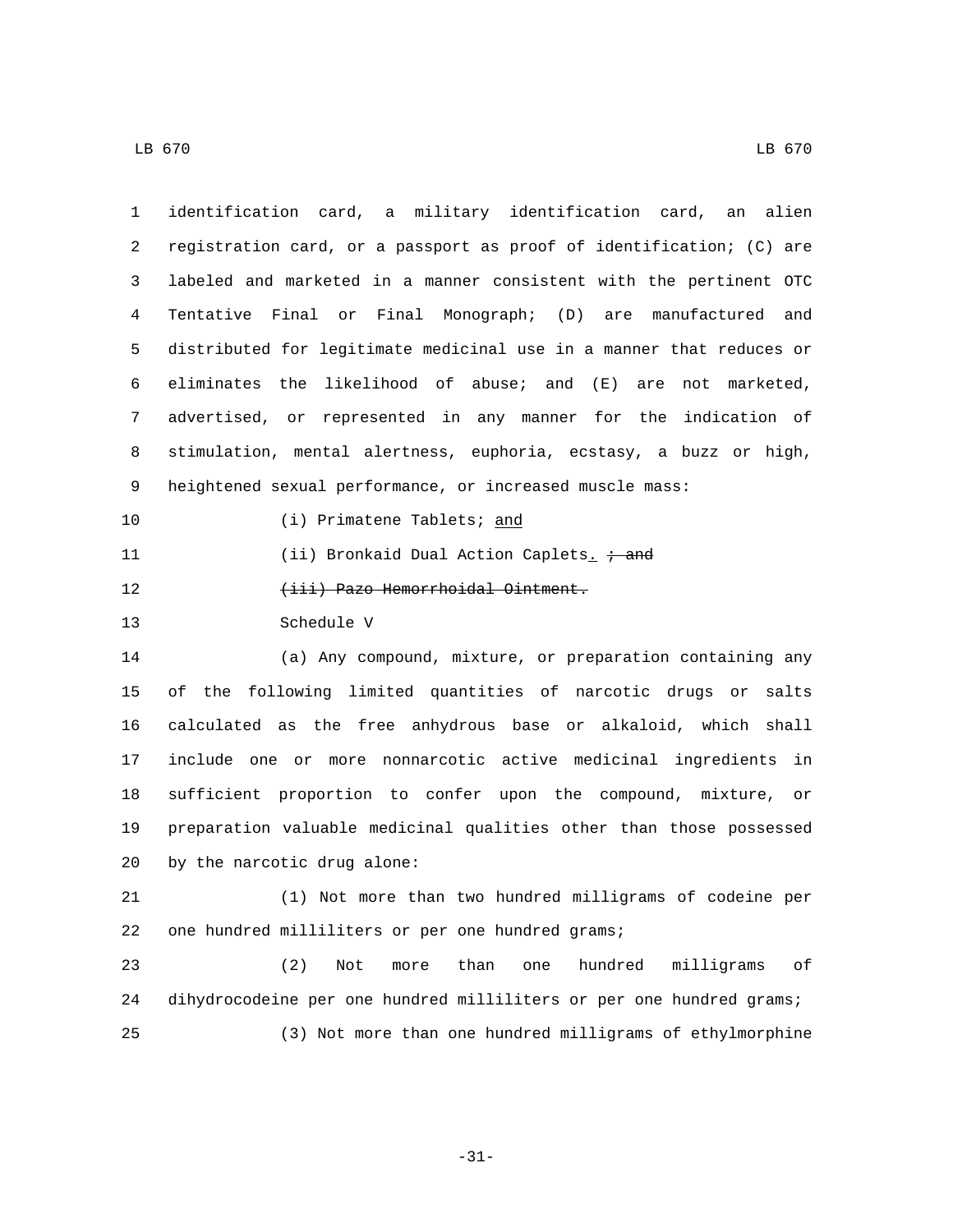| $\mathbf{1}$ | identification card, a military identification card, an alien         |
|--------------|-----------------------------------------------------------------------|
| 2            | registration card, or a passport as proof of identification; (C) are  |
| 3            | labeled and marketed in a manner consistent with the pertinent OTC    |
| 4            | Tentative Final or Final Monograph; (D) are manufactured and          |
| 5            | distributed for legitimate medicinal use in a manner that reduces or  |
| б            | eliminates the likelihood of abuse; and<br>( E )<br>are not marketed, |
| 7            | advertised, or represented in any manner for the indication of        |
| 8            | stimulation, mental alertness, euphoria, ecstasy, a buzz or high,     |
| 9            | heightened sexual performance, or increased muscle mass:              |
| 10           | (i) Primatene Tablets; and                                            |
| 11           | (ii) Bronkaid Dual Action Caplets $\frac{1}{x}$ and                   |
| 12           | (iii) Pazo Hemorrhoidal Ointment.                                     |
| 13           | Schedule V                                                            |
| 14           | (a) Any compound, mixture, or preparation containing any              |
| 15           | of the following limited quantities of narcotic drugs or<br>salts     |
| 16           | calculated as the free anhydrous base or alkaloid, which shall        |
| 17           | include one or more nonnarcotic active medicinal ingredients<br>in    |
| 18           | sufficient proportion to confer upon the compound, mixture, or        |
| 19           | preparation valuable medicinal qualities other than those possessed   |
| 20           | by the narcotic drug alone:                                           |
| 21           | (1) Not more than two hundred milligrams of codeine per               |
| 22           | one hundred milliliters or per one hundred grams;                     |
|              |                                                                       |
| 23           | (2)<br>than<br>hundred<br>milligrams<br>оf<br>Not<br>more<br>one      |
| 24           | dihydrocodeine per one hundred milliliters or per one hundred grams;  |

-31-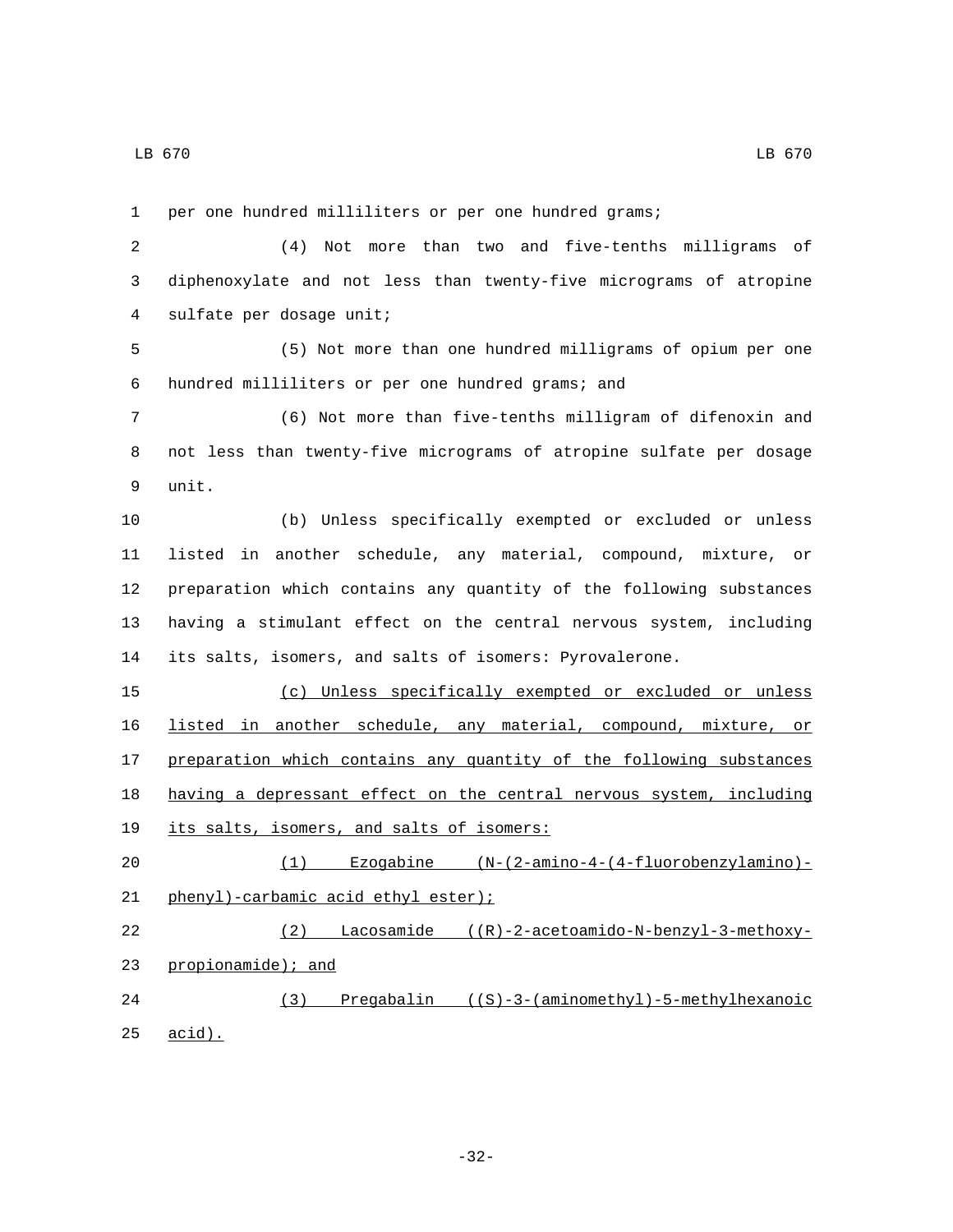25 acid).

 per one hundred milliliters or per one hundred grams; (4) Not more than two and five-tenths milligrams of diphenoxylate and not less than twenty-five micrograms of atropine 4 sulfate per dosage unit; (5) Not more than one hundred milligrams of opium per one hundred milliliters or per one hundred grams; and6 (6) Not more than five-tenths milligram of difenoxin and not less than twenty-five micrograms of atropine sulfate per dosage 9 unit. (b) Unless specifically exempted or excluded or unless listed in another schedule, any material, compound, mixture, or preparation which contains any quantity of the following substances having a stimulant effect on the central nervous system, including its salts, isomers, and salts of isomers: Pyrovalerone. (c) Unless specifically exempted or excluded or unless listed in another schedule, any material, compound, mixture, or 17 preparation which contains any quantity of the following substances having a depressant effect on the central nervous system, including 19 its salts, isomers, and salts of isomers: (1) Ezogabine (N-(2-amino-4-(4-fluorobenzylamino)- 21 phenyl)-carbamic acid ethyl ester); (2) Lacosamide ((R)-2-acetoamido-N-benzyl-3-methoxy-23 propionamide); and (3) Pregabalin ((S)-3-(aminomethyl)-5-methylhexanoic